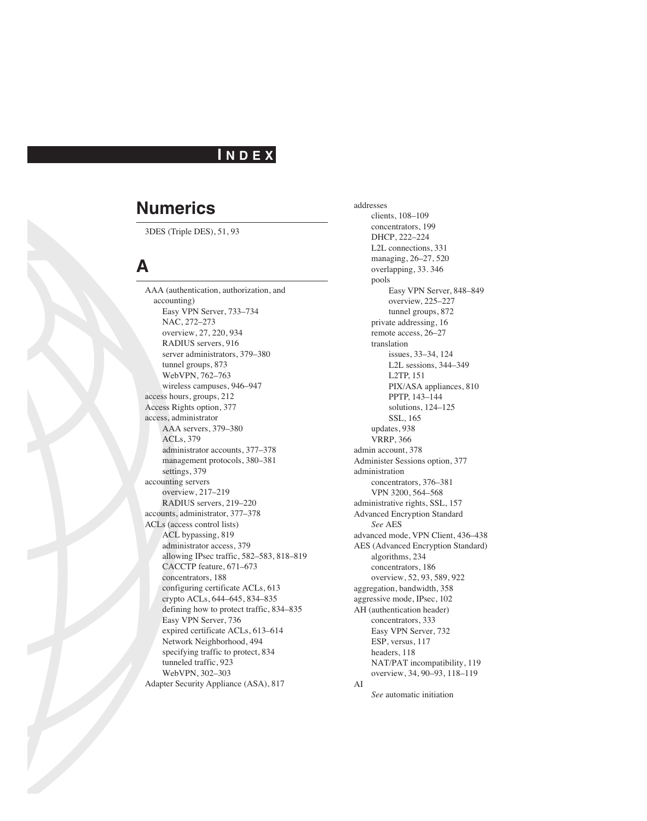### **I N D E X**

### **Numerics**

3DES (Triple DES), 51, 93

### **A**

AAA (authentication, authorization, and accounting) Easy VPN Server, 733–734 NAC, 272–273 overview, 27, 220, 934 RADIUS servers, 916 server administrators, 379–380 tunnel groups, 873 WebVPN, 762–763 wireless campuses, 946–947 access hours, groups, 212 Access Rights option, 377 access, administrator AAA servers, 379–380 ACLs, 379 administrator accounts, 377–378 management protocols, 380–381 settings, 379 accounting servers overview, 217–219 RADIUS servers, 219–220 accounts, administrator, 377–378 ACLs (access control lists) ACL bypassing, 819 administrator access, 379 allowing IPsec traffic, 582–583, 818–819 CACCTP feature, 671–673 concentrators, 188 configuring certificate ACLs, 613 crypto ACLs, 644–645, 834–835 defining how to protect traffic, 834–835 Easy VPN Server, 736 expired certificate ACLs, 613–614 Network Neighborhood, 494 specifying traffic to protect, 834 tunneled traffic, 923 WebVPN, 302–303 Adapter Security Appliance (ASA), 817

addresses clients, 108–109 concentrators, 199 DHCP, 222–224 L2L connections, 331 managing, 26–27, 520 overlapping, 33. 346 pools Easy VPN Server, 848–849 overview, 225–227 tunnel groups, 872 private addressing, 16 remote access, 26–27 translation issues, 33–34, 124 L2L sessions, 344–349 L2TP, 151 PIX/ASA appliances, 810 PPTP, 143–144 solutions, 124–125 SSL, 165 updates, 938 VRRP, 366 admin account, 378 Administer Sessions option, 377 administration concentrators, 376–381 VPN 3200, 564–568 administrative rights, SSL, 157 Advanced Encryption Standard *See* AES advanced mode, VPN Client, 436–438 AES (Advanced Encryption Standard) algorithms, 234 concentrators, 186 overview, 52, 93, 589, 922 aggregation, bandwidth, 358 aggressive mode, IPsec, 102 AH (authentication header) concentrators, 333 Easy VPN Server, 732 ESP, versus, 117 headers, 118 NAT/PAT incompatibility, 119 overview, 34, 90–93, 118–119 AI

*See* automatic initiation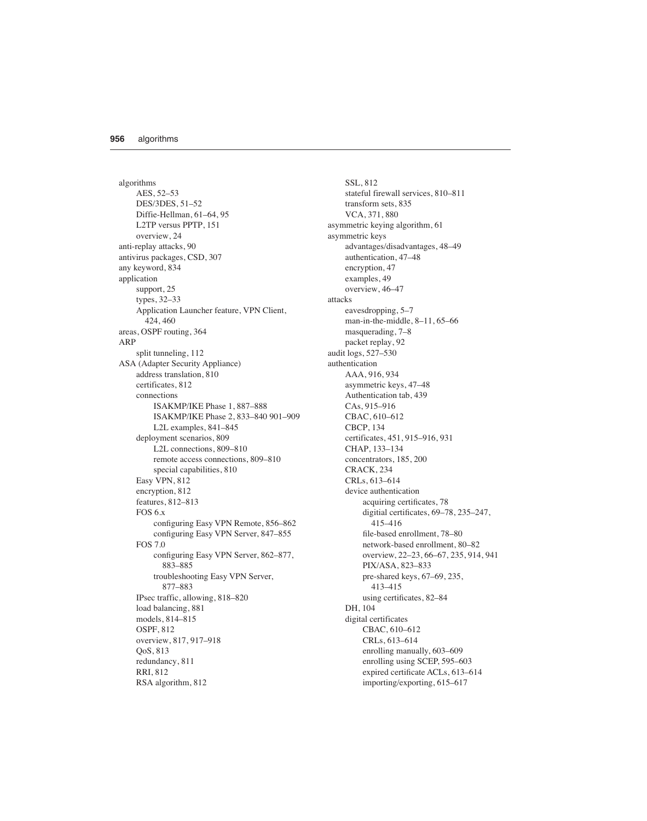algorithms AES, 52–53 DES/3DES, 51–52 Diffie-Hellman, 61–64, 95 L2TP versus PPTP, 151 overview, 24 anti-replay attacks, 90 antivirus packages, CSD, 307 any keyword, 834 application support, 25 types, 32–33 Application Launcher feature, VPN Client, 424, 460 areas, OSPF routing, 364 ARP split tunneling, 112 ASA (Adapter Security Appliance) address translation, 810 certificates, 812 connections ISAKMP/IKE Phase 1, 887–888 ISAKMP/IKE Phase 2, 833–840 901–909 L2L examples, 841–845 deployment scenarios, 809 L2L connections, 809–810 remote access connections, 809–810 special capabilities, 810 Easy VPN, 812 encryption, 812 features, 812–813 FOS 6.x configuring Easy VPN Remote, 856–862 configuring Easy VPN Server, 847–855 FOS 7.0 configuring Easy VPN Server, 862–877, 883–885 troubleshooting Easy VPN Server, 877–883 IPsec traffic, allowing, 818–820 load balancing, 881 models, 814–815 OSPF, 812 overview, 817, 917–918 QoS, 813 redundancy, 811 RRI, 812 RSA algorithm, 812

SSL, 812 stateful firewall services, 810–811 transform sets, 835 VCA, 371, 880 asymmetric keying algorithm, 61 asymmetric keys advantages/disadvantages, 48–49 authentication, 47–48 encryption, 47 examples, 49 overview, 46–47 attacks eavesdropping, 5–7 man-in-the-middle, 8–11, 65–66 masquerading, 7–8 packet replay, 92 audit logs, 527–530 authentication AAA, 916, 934 asymmetric keys, 47–48 Authentication tab, 439 CAs, 915–916 CBAC, 610–612 CBCP, 134 certificates, 451, 915–916, 931 CHAP, 133–134 concentrators, 185, 200 CRACK, 234 CRLs, 613–614 device authentication acquiring certificates, 78 digitial certificates, 69–78, 235–247, 415–416 file-based enrollment, 78–80 network-based enrollment, 80–82 overview, 22–23, 66–67, 235, 914, 941 PIX/ASA, 823–833 pre-shared keys, 67–69, 235, 413–415 using certificates, 82–84 DH, 104 digital certificates CBAC, 610–612 CRLs, 613–614 enrolling manually, 603–609 enrolling using SCEP, 595–603 expired certificate ACLs, 613–614 importing/exporting, 615–617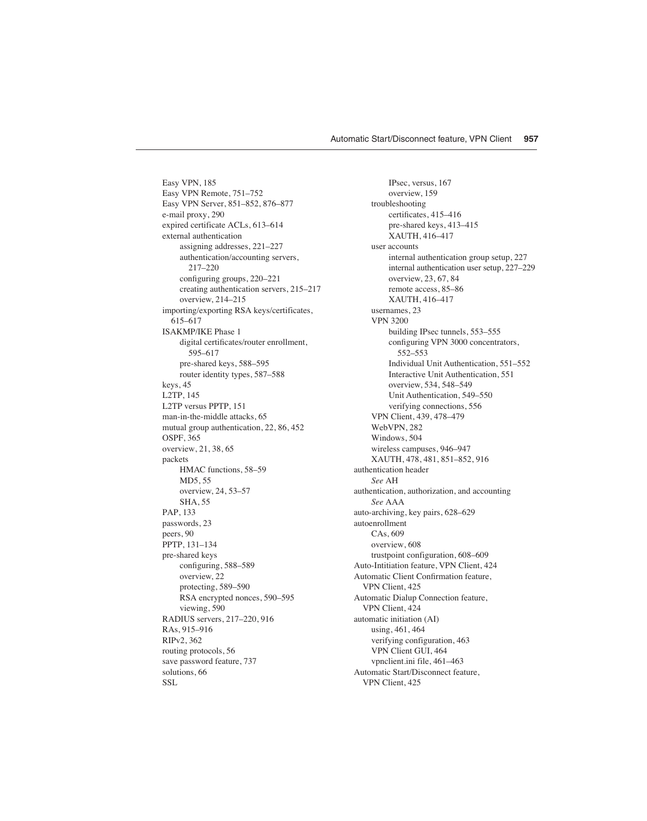Easy VPN, 185 Easy VPN Remote, 751–752 Easy VPN Server, 851–852, 876–877 e-mail proxy, 290 expired certificate ACLs, 613–614 external authentication assigning addresses, 221–227 authentication/accounting servers, 217–220 configuring groups, 220–221 creating authentication servers, 215–217 overview, 214–215 importing/exporting RSA keys/certificates, 615–617 ISAKMP/IKE Phase 1 digital certificates/router enrollment, 595–617 pre-shared keys, 588–595 router identity types, 587–588 keys, 45 L2TP, 145 L2TP versus PPTP, 151 man-in-the-middle attacks, 65 mutual group authentication, 22, 86, 452 OSPF, 365 overview, 21, 38, 65 packets HMAC functions, 58–59 MD5, 55 overview, 24, 53–57 SHA, 55 PAP, 133 passwords, 23 peers, 90 PPTP, 131–134 pre-shared keys configuring, 588–589 overview, 22 protecting, 589–590 RSA encrypted nonces, 590–595 viewing, 590 RADIUS servers, 217–220, 916 RAs, 915–916 RIPv2, 362 routing protocols, 56 save password feature, 737 solutions, 66 SSL

IPsec, versus, 167 overview, 159 troubleshooting certificates, 415–416 pre-shared keys, 413–415 XAUTH, 416–417 user accounts internal authentication group setup, 227 internal authentication user setup, 227–229 overview, 23, 67, 84 remote access, 85–86 XAUTH, 416–417 usernames, 23 VPN 3200 building IPsec tunnels, 553–555 configuring VPN 3000 concentrators, 552–553 Individual Unit Authentication, 551–552 Interactive Unit Authentication, 551 overview, 534, 548–549 Unit Authentication, 549–550 verifying connections, 556 VPN Client, 439, 478–479 WebVPN<sub>282</sub> Windows, 504 wireless campuses, 946–947 XAUTH, 478, 481, 851–852, 916 authentication header *See* AH authentication, authorization, and accounting *See* AAA auto-archiving, key pairs, 628–629 autoenrollment CAs, 609 overview, 608 trustpoint configuration, 608–609 Auto-Intitiation feature, VPN Client, 424 Automatic Client Confirmation feature, VPN Client, 425 Automatic Dialup Connection feature, VPN Client, 424 automatic initiation (AI) using, 461, 464 verifying configuration, 463 VPN Client GUI, 464 vpnclient.ini file, 461–463 Automatic Start/Disconnect feature, VPN Client, 425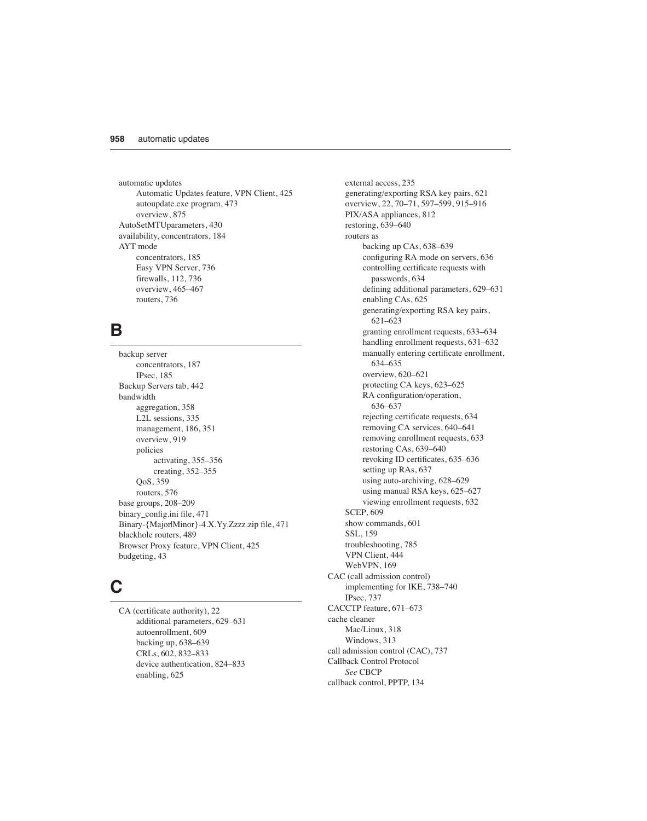automatic updates Automatic Updates feature, VPN Client, 425 autoupdate.exe program, 473 overview, 875 AutoSetMTUparameters, 430 availability, concentrators, 184 AYT mode concentrators, 185 Easy VPN Server, 736 firewalls, 112, 736 overview, 465–467 routers, 736

### **B**

backup server concentrators, 187 IPsec, 185 Backup Servers tab, 442 bandwidth aggregation, 358 L2L sessions, 335 management, 186, 351 overview, 919 policies activating, 355–356 creating, 352–355 QoS, 359 routers, 576 base groups, 208–209 binary\_config.ini file, 471 Binary-{Major|Minor}-4.X.Yy.Zzzz.zip file, 471 blackhole routers, 489 Browser Proxy feature, VPN Client, 425 budgeting, 43

### **C**

CA (certificate authority), 22 additional parameters, 629–631 autoenrollment, 609 backing up, 638–639 CRLs, 602, 832–833 device authentication, 824–833 enabling, 625

external access, 235 generating/exporting RSA key pairs, 621 overview, 22, 70–71, 597–599, 915–916 PIX/ASA appliances, 812 restoring, 639–640 routers as backing up CAs, 638–639 configuring RA mode on servers, 636 controlling certificate requests with passwords, 634 defining additional parameters, 629–631 enabling CAs, 625 generating/exporting RSA key pairs, 621–623 granting enrollment requests, 633–634 handling enrollment requests, 631–632 manually entering certificate enrollment, 634–635 overview, 620–621 protecting CA keys, 623–625 RA configuration/operation, 636–637 rejecting certificate requests, 634 removing CA services, 640–641 removing enrollment requests, 633 restoring CAs, 639–640 revoking ID certificates, 635–636 setting up RAs, 637 using auto-archiving, 628–629 using manual RSA keys, 625–627 viewing enrollment requests, 632 SCEP, 609 show commands, 601 SSL, 159 troubleshooting, 785 VPN Client, 444 WebVPN, 169 CAC (call admission control) implementing for IKE, 738–740 IPsec, 737 CACCTP feature, 671–673 cache cleaner Mac/Linux, 318 Windows, 313 call admission control (CAC), 737 Callback Control Protocol *See* CBCP callback control, PPTP, 134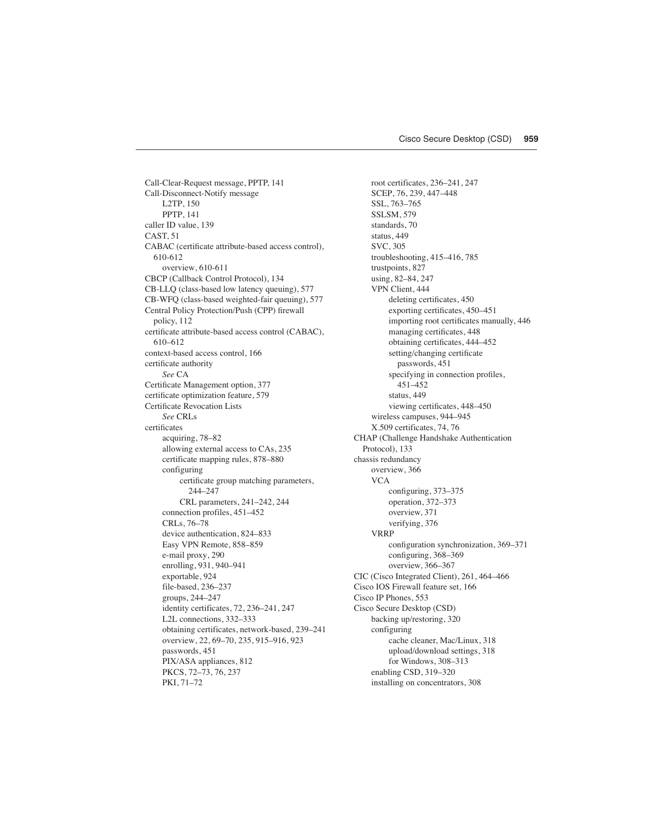Call-Clear-Request message, PPTP, 141 Call-Disconnect-Notify message L2TP, 150 PPTP, 141 caller ID value, 139 CAST, 51 CABAC (certificate attribute-based access control), 610-612 overview, 610-611 CBCP (Callback Control Protocol), 134 CB-LLQ (class-based low latency queuing), 577 CB-WFQ (class-based weighted-fair queuing), 577 Central Policy Protection/Push (CPP) firewall policy, 112 certificate attribute-based access control (CABAC), 610–612 context-based access control, 166 certificate authority *See* CA Certificate Management option, 377 certificate optimization feature, 579 Certificate Revocation Lists *See* CRLs certificates acquiring, 78–82 allowing external access to CAs, 235 certificate mapping rules, 878–880 configuring certificate group matching parameters, 244–247 CRL parameters, 241–242, 244 connection profiles, 451–452 CRLs, 76–78 device authentication, 824–833 Easy VPN Remote, 858–859 e-mail proxy, 290 enrolling, 931, 940–941 exportable, 924 file-based, 236–237 groups, 244–247 identity certificates, 72, 236–241, 247 L2L connections, 332–333 obtaining certificates, network-based, 239–241 overview, 22, 69–70, 235, 915–916, 923 passwords, 451 PIX/ASA appliances, 812 PKCS, 72–73, 76, 237 PKI, 71–72

root certificates, 236–241, 247 SCEP, 76, 239, 447–448 SSL, 763–765 SSLSM, 579 standards, 70 status, 449 SVC, 305 troubleshooting, 415–416, 785 trustpoints, 827 using, 82–84, 247 VPN Client, 444 deleting certificates, 450 exporting certificates, 450–451 importing root certificates manually, 446 managing certificates, 448 obtaining certificates, 444–452 setting/changing certificate passwords, 451 specifying in connection profiles, 451–452 status, 449 viewing certificates, 448–450 wireless campuses, 944–945 X.509 certificates, 74, 76 CHAP (Challenge Handshake Authentication Protocol), 133 chassis redundancy overview, 366 VCA configuring, 373–375 operation, 372–373 overview, 371 verifying, 376 VRRP configuration synchronization, 369–371 configuring, 368–369 overview, 366–367 CIC (Cisco Integrated Client), 261, 464–466 Cisco IOS Firewall feature set, 166 Cisco IP Phones, 553 Cisco Secure Desktop (CSD) backing up/restoring, 320 configuring cache cleaner, Mac/Linux, 318 upload/download settings, 318 for Windows, 308–313 enabling CSD, 319–320 installing on concentrators, 308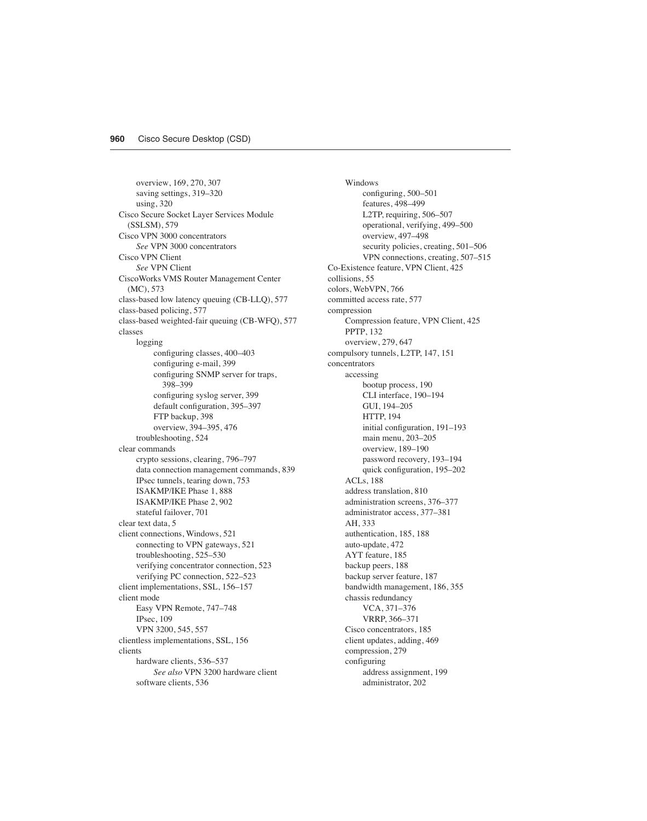overview, 169, 270, 307 saving settings, 319–320 using, 320 Cisco Secure Socket Layer Services Module (SSLSM), 579 Cisco VPN 3000 concentrators *See* VPN 3000 concentrators Cisco VPN Client *See* VPN Client CiscoWorks VMS Router Management Center (MC), 573 class-based low latency queuing (CB-LLQ), 577 class-based policing, 577 class-based weighted-fair queuing (CB-WFQ), 577 classes logging configuring classes, 400–403 configuring e-mail, 399 configuring SNMP server for traps, 398–399 configuring syslog server, 399 default configuration, 395–397 FTP backup, 398 overview, 394–395, 476 troubleshooting, 524 clear commands crypto sessions, clearing, 796–797 data connection management commands, 839 IPsec tunnels, tearing down, 753 ISAKMP/IKE Phase 1, 888 ISAKMP/IKE Phase 2, 902 stateful failover, 701 clear text data, 5 client connections, Windows, 521 connecting to VPN gateways, 521 troubleshooting, 525–530 verifying concentrator connection, 523 verifying PC connection, 522–523 client implementations, SSL, 156–157 client mode Easy VPN Remote, 747–748 IPsec, 109 VPN 3200, 545, 557 clientless implementations, SSL, 156 clients hardware clients, 536–537 *See also* VPN 3200 hardware client software clients, 536

Windows configuring, 500–501 features, 498–499 L2TP, requiring, 506–507 operational, verifying, 499–500 overview, 497–498 security policies, creating, 501–506 VPN connections, creating, 507–515 Co-Existence feature, VPN Client, 425 collisions, 55 colors, WebVPN, 766 committed access rate, 577 compression Compression feature, VPN Client, 425 PPTP, 132 overview, 279, 647 compulsory tunnels, L2TP, 147, 151 concentrators accessing bootup process, 190 CLI interface, 190–194 GUI, 194–205 HTTP, 194 initial configuration, 191–193 main menu, 203–205 overview, 189–190 password recovery, 193–194 quick configuration, 195–202 ACLs, 188 address translation, 810 administration screens, 376–377 administrator access, 377–381 AH, 333 authentication, 185, 188 auto-update, 472 AYT feature, 185 backup peers, 188 backup server feature, 187 bandwidth management, 186, 355 chassis redundancy VCA, 371–376 VRRP, 366–371 Cisco concentrators, 185 client updates, adding, 469 compression, 279 configuring address assignment, 199 administrator, 202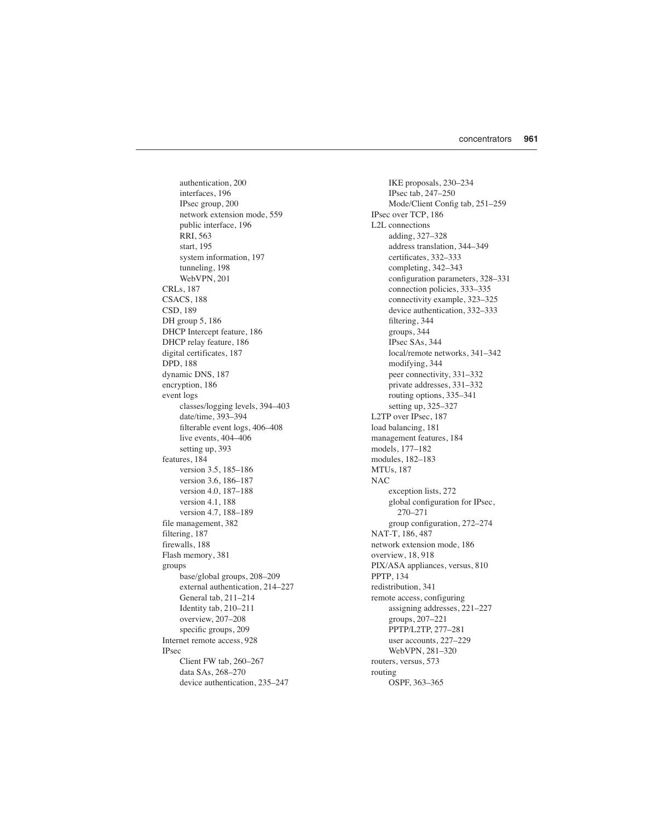authentication, 200 interfaces, 196 IPsec group, 200 network extension mode, 559 public interface, 196 RRI, 563 start, 195 system information, 197 tunneling, 198 WebVPN, 201 CRLs, 187 CSACS, 188 CSD, 189 DH group 5, 186 DHCP Intercept feature, 186 DHCP relay feature, 186 digital certificates, 187 DPD, 188 dynamic DNS, 187 encryption, 186 event logs classes/logging levels, 394–403 date/time, 393–394 filterable event logs, 406–408 live events, 404–406 setting up, 393 features, 184 version 3.5, 185–186 version 3.6, 186–187 version 4.0, 187–188 version 4.1, 188 version 4.7, 188–189 file management, 382 filtering, 187 firewalls, 188 Flash memory, 381 groups base/global groups, 208–209 external authentication, 214–227 General tab, 211–214 Identity tab, 210–211 overview, 207–208 specific groups, 209 Internet remote access, 928 IPsec Client FW tab, 260–267 data SAs, 268–270 device authentication, 235–247

IKE proposals, 230–234 IPsec tab, 247–250 Mode/Client Config tab, 251–259 IPsec over TCP, 186 L2L connections adding, 327–328 address translation, 344–349 certificates, 332–333 completing, 342–343 configuration parameters, 328–331 connection policies, 333–335 connectivity example, 323–325 device authentication, 332–333 filtering, 344 groups, 344 IPsec SAs, 344 local/remote networks, 341–342 modifying, 344 peer connectivity, 331–332 private addresses, 331–332 routing options, 335–341 setting up, 325–327 L2TP over IPsec, 187 load balancing, 181 management features, 184 models, 177–182 modules, 182–183 MTUs, 187 NAC exception lists, 272 global configuration for IPsec, 270–271 group configuration, 272–274 NAT-T, 186, 487 network extension mode, 186 overview, 18, 918 PIX/ASA appliances, versus, 810 PPTP, 134 redistribution, 341 remote access, configuring assigning addresses, 221–227 groups, 207–221 PPTP/L2TP, 277–281 user accounts, 227–229 WebVPN, 281–320 routers, versus, 573 routing OSPF, 363–365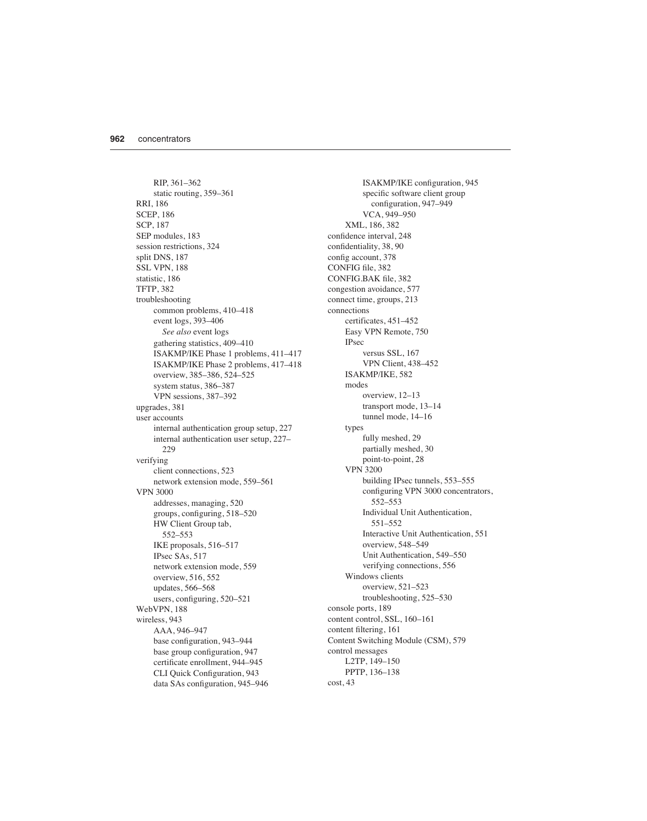RIP, 361–362 static routing, 359–361 RRI, 186 SCEP, 186 SCP, 187 SEP modules, 183 session restrictions, 324 split DNS, 187 SSL VPN, 188 statistic, 186 TFTP, 382 troubleshooting common problems, 410–418 event logs, 393–406 *See also* event logs gathering statistics, 409–410 ISAKMP/IKE Phase 1 problems, 411–417 ISAKMP/IKE Phase 2 problems, 417–418 overview, 385–386, 524–525 system status, 386–387 VPN sessions, 387–392 upgrades, 381 user accounts internal authentication group setup, 227 internal authentication user setup, 227– 229 verifying client connections, 523 network extension mode, 559–561 VPN 3000 addresses, managing, 520 groups, configuring, 518–520 HW Client Group tab, 552–553 IKE proposals, 516–517 IPsec SAs, 517 network extension mode, 559 overview, 516, 552 updates, 566–568 users, configuring, 520–521 WebVPN, 188 wireless, 943 AAA, 946–947 base configuration, 943–944 base group configuration, 947 certificate enrollment, 944–945 CLI Quick Configuration, 943 data SAs configuration, 945–946

ISAKMP/IKE configuration, 945 specific software client group configuration, 947–949 VCA, 949–950 XML, 186, 382 confidence interval, 248 confidentiality, 38, 90 config account, 378 CONFIG file, 382 CONFIG.BAK file, 382 congestion avoidance, 577 connect time, groups, 213 connections certificates, 451–452 Easy VPN Remote, 750 IPsec versus SSL, 167 VPN Client, 438–452 ISAKMP/IKE, 582 modes overview, 12–13 transport mode, 13–14 tunnel mode, 14–16 types fully meshed, 29 partially meshed, 30 point-to-point, 28 VPN 3200 building IPsec tunnels, 553–555 configuring VPN 3000 concentrators, 552–553 Individual Unit Authentication, 551–552 Interactive Unit Authentication, 551 overview, 548–549 Unit Authentication, 549–550 verifying connections, 556 Windows clients overview, 521–523 troubleshooting, 525–530 console ports, 189 content control, SSL, 160–161 content filtering, 161 Content Switching Module (CSM), 579 control messages L2TP, 149–150 PPTP, 136–138 cost, 43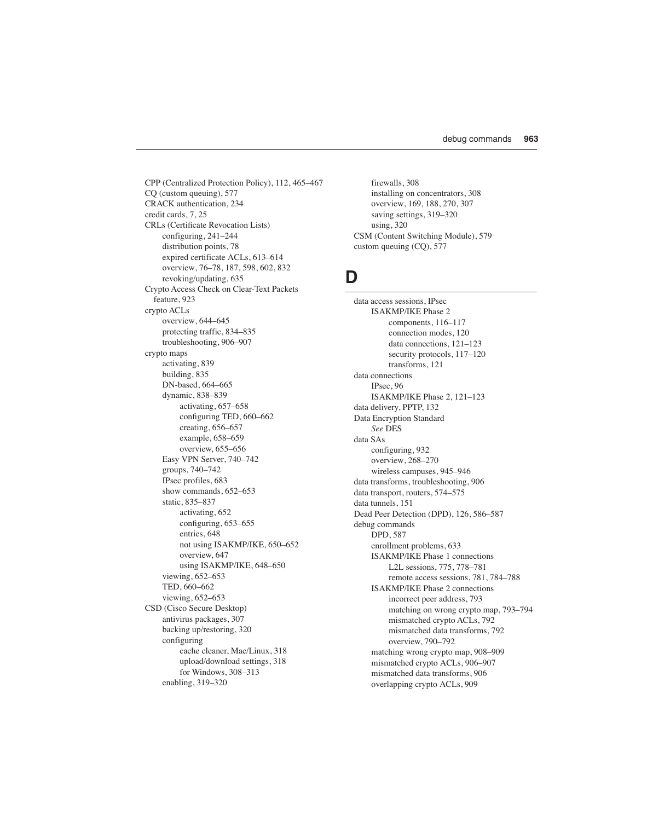CPP (Centralized Protection Policy), 112, 465–467 CQ (custom queuing), 577 CRACK authentication, 234 credit cards, 7, 25 CRLs (Certificate Revocation Lists) configuring, 241–244 distribution points, 78 expired certificate ACLs, 613–614 overview, 76–78, 187, 598, 602, 832 revoking/updating, 635 Crypto Access Check on Clear-Text Packets feature, 923 crypto ACLs overview, 644–645 protecting traffic, 834–835 troubleshooting, 906–907 crypto maps activating, 839 building, 835 DN-based, 664–665 dynamic, 838–839 activating, 657–658 configuring TED, 660–662 creating, 656–657 example, 658–659 overview, 655–656 Easy VPN Server, 740–742 groups, 740–742 IPsec profiles, 683 show commands, 652–653 static, 835–837 activating, 652 configuring, 653–655 entries, 648 not using ISAKMP/IKE, 650–652 overview, 647 using ISAKMP/IKE, 648–650 viewing, 652–653 TED, 660–662 viewing, 652–653 CSD (Cisco Secure Desktop) antivirus packages, 307 backing up/restoring, 320 configuring cache cleaner, Mac/Linux, 318 upload/download settings, 318 for Windows, 308–313 enabling, 319–320

firewalls, 308 installing on concentrators, 308 overview, 169, 188, 270, 307 saving settings, 319–320 using, 320 CSM (Content Switching Module), 579 custom queuing (CQ), 577

### **D**

data access sessions, IPsec ISAKMP/IKE Phase 2 components, 116–117 connection modes, 120 data connections, 121–123 security protocols, 117–120 transforms, 121 data connections IPsec, 96 ISAKMP/IKE Phase 2, 121–123 data delivery, PPTP, 132 Data Encryption Standard *See* DES data SAs configuring, 932 overview, 268–270 wireless campuses, 945–946 data transforms, troubleshooting, 906 data transport, routers, 574–575 data tunnels, 151 Dead Peer Detection (DPD), 126, 586–587 debug commands DPD, 587 enrollment problems, 633 ISAKMP/IKE Phase 1 connections L2L sessions, 775, 778–781 remote access sessions, 781, 784–788 ISAKMP/IKE Phase 2 connections incorrect peer address, 793 matching on wrong crypto map, 793–794 mismatched crypto ACLs, 792 mismatched data transforms, 792 overview, 790–792 matching wrong crypto map, 908–909 mismatched crypto ACLs, 906–907 mismatched data transforms, 906 overlapping crypto ACLs, 909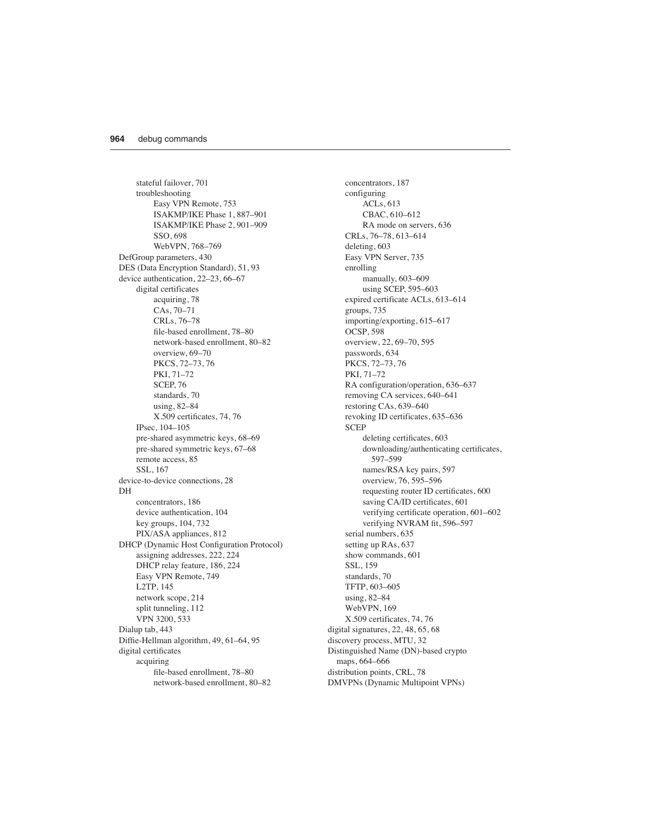stateful failover, 701 troubleshooting Easy VPN Remote, 753 ISAKMP/IKE Phase 1, 887–901 ISAKMP/IKE Phase 2, 901–909 SSO, 698 WebVPN, 768–769 DefGroup parameters, 430 DES (Data Encryption Standard), 51, 93 device authentication, 22–23, 66–67 digital certificates acquiring, 78 CAs, 70–71 CRLs, 76–78 file-based enrollment, 78–80 network-based enrollment, 80–82 overview, 69–70 PKCS, 72–73, 76 PKI, 71–72 SCEP, 76 standards, 70 using, 82–84 X.509 certificates, 74, 76 IPsec, 104–105 pre-shared asymmetric keys, 68–69 pre-shared symmetric keys, 67–68 remote access, 85 SSL, 167 device-to-device connections, 28 DH concentrators, 186 device authentication, 104 key groups, 104, 732 PIX/ASA appliances, 812 DHCP (Dynamic Host Configuration Protocol) assigning addresses, 222, 224 DHCP relay feature, 186, 224 Easy VPN Remote, 749 L2TP, 145 network scope, 214 split tunneling, 112 VPN 3200, 533 Dialup tab, 443 Diffie-Hellman algorithm, 49, 61–64, 95 digital certificates acquiring file-based enrollment, 78–80 network-based enrollment, 80–82

concentrators, 187 configuring ACLs, 613 CBAC, 610–612 RA mode on servers, 636 CRLs, 76–78, 613–614 deleting, 603 Easy VPN Server, 735 enrolling manually, 603–609 using SCEP, 595–603 expired certificate ACLs, 613–614 groups, 735 importing/exporting, 615–617 OCSP, 598 overview, 22, 69–70, 595 passwords, 634 PKCS, 72–73, 76 PKI, 71–72 RA configuration/operation, 636–637 removing CA services, 640–641 restoring CAs, 639–640 revoking ID certificates, 635–636 **SCEP** deleting certificates, 603 downloading/authenticating certificates, 597–599 names/RSA key pairs, 597 overview, 76, 595–596 requesting router ID certificates, 600 saving CA/ID certificates, 601 verifying certificate operation, 601–602 verifying NVRAM fit, 596–597 serial numbers, 635 setting up RAs, 637 show commands, 601 SSL, 159 standards, 70 TFTP, 603–605 using, 82–84 WebVPN, 169 X.509 certificates, 74, 76 digital signatures, 22, 48, 65, 68 discovery process, MTU, 32 Distinguished Name (DN)-based crypto maps, 664–666 distribution points, CRL, 78 DMVPNs (Dynamic Multipoint VPNs)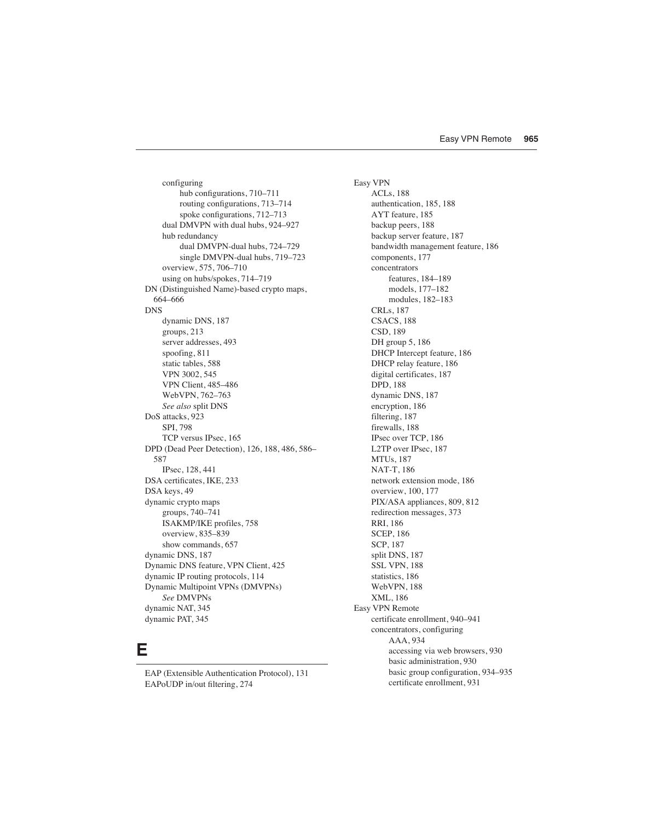configuring hub configurations, 710–711 routing configurations, 713–714 spoke configurations, 712–713 dual DMVPN with dual hubs, 924–927 hub redundancy dual DMVPN-dual hubs, 724–729 single DMVPN-dual hubs, 719–723 overview, 575, 706–710 using on hubs/spokes, 714–719 DN (Distinguished Name)-based crypto maps, 664–666 DNS dynamic DNS, 187 groups, 213 server addresses, 493 spoofing, 811 static tables, 588 VPN 3002, 545 VPN Client, 485–486 WebVPN, 762–763 *See also* split DNS DoS attacks, 923 SPI, 798 TCP versus IPsec, 165 DPD (Dead Peer Detection), 126, 188, 486, 586– 587 IPsec, 128, 441 DSA certificates, IKE, 233 DSA keys, 49 dynamic crypto maps groups, 740–741 ISAKMP/IKE profiles, 758 overview, 835–839 show commands, 657 dynamic DNS, 187 Dynamic DNS feature, VPN Client, 425 dynamic IP routing protocols, 114 Dynamic Multipoint VPNs (DMVPNs) *See* DMVPNs dynamic NAT, 345 dynamic PAT, 345

#### **E**

EAP (Extensible Authentication Protocol), 131 EAPoUDP in/out filtering, 274

Easy VPN ACLs, 188 authentication, 185, 188 AYT feature, 185 backup peers, 188 backup server feature, 187 bandwidth management feature, 186 components, 177 concentrators features, 184–189 models, 177–182 modules, 182–183 CRLs, 187 CSACS, 188 CSD, 189 DH group 5, 186 DHCP Intercept feature, 186 DHCP relay feature, 186 digital certificates, 187 DPD, 188 dynamic DNS, 187 encryption, 186 filtering, 187 firewalls, 188 IPsec over TCP, 186 L2TP over IPsec, 187 MTUs, 187 NAT-T, 186 network extension mode, 186 overview, 100, 177 PIX/ASA appliances, 809, 812 redirection messages, 373 RRI, 186 SCEP, 186 SCP, 187 split DNS, 187 SSL VPN, 188 statistics, 186 WebVPN, 188 XML, 186 Easy VPN Remote certificate enrollment, 940–941 concentrators, configuring AAA, 934 accessing via web browsers, 930 basic administration, 930 basic group configuration, 934–935 certificate enrollment, 931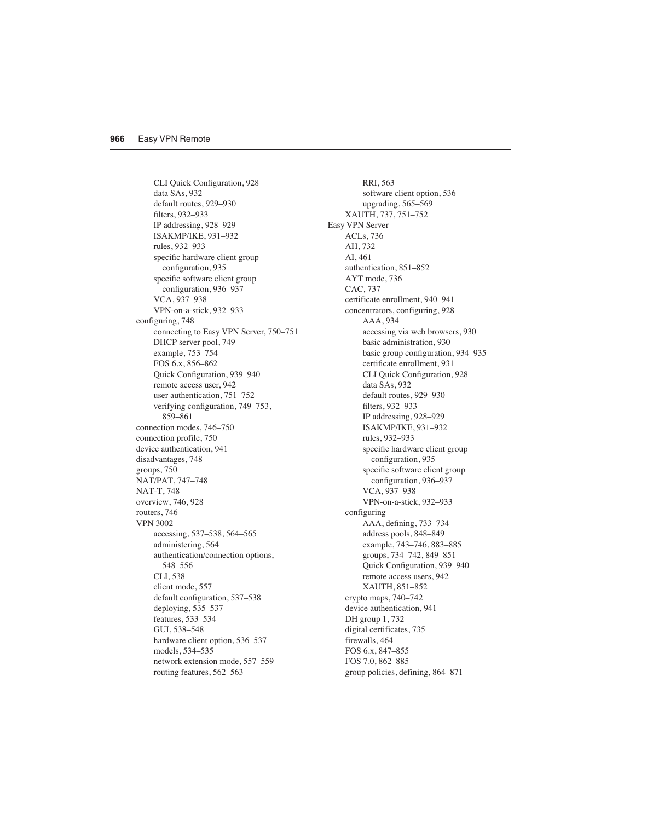CLI Quick Configuration, 928 data SAs, 932 default routes, 929–930 filters, 932–933 IP addressing, 928–929 ISAKMP/IKE, 931–932 rules, 932–933 specific hardware client group configuration, 935 specific software client group configuration, 936–937 VCA, 937–938 VPN-on-a-stick, 932–933 configuring, 748 connecting to Easy VPN Server, 750–751 DHCP server pool, 749 example, 753–754 FOS 6.x, 856–862 Quick Configuration, 939–940 remote access user, 942 user authentication, 751–752 verifying configuration, 749–753, 859–861 connection modes, 746–750 connection profile, 750 device authentication, 941 disadvantages, 748 groups, 750 NAT/PAT, 747–748 NAT-T, 748 overview, 746, 928 routers, 746 VPN 3002 accessing, 537–538, 564–565 administering, 564 authentication/connection options, 548–556 CLI, 538 client mode, 557 default configuration, 537–538 deploying, 535–537 features, 533–534 GUI, 538–548 hardware client option, 536–537 models, 534–535 network extension mode, 557–559 routing features, 562–563

RRI, 563 software client option, 536 upgrading, 565–569 XAUTH, 737, 751–752 Easy VPN Server ACLs, 736 AH, 732 AI, 461 authentication, 851–852 AYT mode, 736 CAC, 737 certificate enrollment, 940–941 concentrators, configuring, 928 AAA, 934 accessing via web browsers, 930 basic administration, 930 basic group configuration, 934–935 certificate enrollment, 931 CLI Quick Configuration, 928 data SAs, 932 default routes, 929–930 filters, 932–933 IP addressing, 928–929 ISAKMP/IKE, 931–932 rules, 932–933 specific hardware client group configuration, 935 specific software client group configuration, 936–937 VCA, 937–938 VPN-on-a-stick, 932–933 configuring AAA, defining, 733–734 address pools, 848–849 example, 743–746, 883–885 groups, 734–742, 849–851 Quick Configuration, 939–940 remote access users, 942 XAUTH, 851–852 crypto maps, 740–742 device authentication, 941 DH group 1, 732 digital certificates, 735 firewalls, 464 FOS 6.x, 847–855 FOS 7.0, 862–885 group policies, defining, 864–871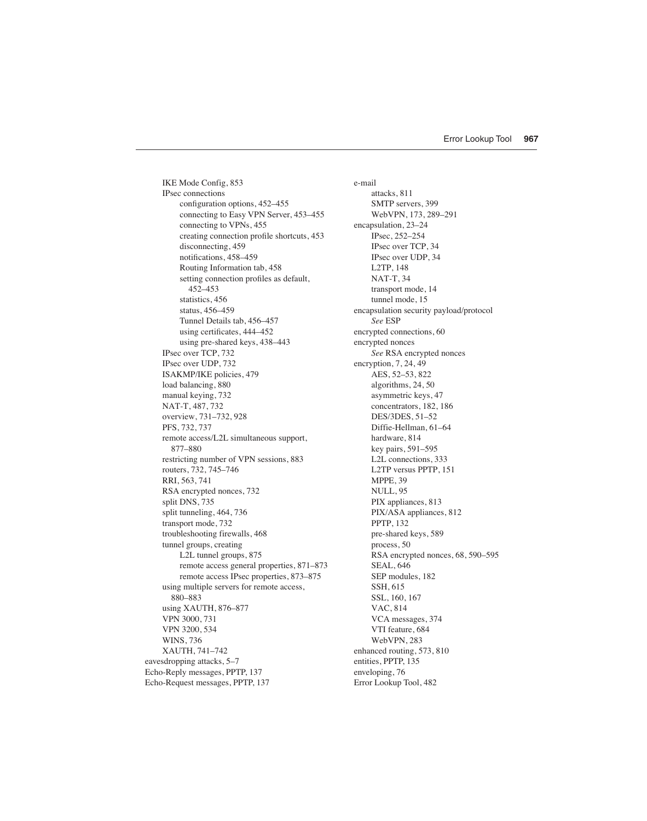IKE Mode Config, 853 IPsec connections configuration options, 452–455 connecting to Easy VPN Server, 453–455 connecting to VPNs, 455 creating connection profile shortcuts, 453 disconnecting, 459 notifications, 458–459 Routing Information tab, 458 setting connection profiles as default, 452–453 statistics, 456 status, 456–459 Tunnel Details tab, 456–457 using certificates, 444–452 using pre-shared keys, 438–443 IPsec over TCP, 732 IPsec over UDP, 732 ISAKMP/IKE policies, 479 load balancing, 880 manual keying, 732 NAT-T, 487, 732 overview, 731–732, 928 PFS, 732, 737 remote access/L2L simultaneous support, 877–880 restricting number of VPN sessions, 883 routers, 732, 745–746 RRI, 563, 741 RSA encrypted nonces, 732 split DNS, 735 split tunneling, 464, 736 transport mode, 732 troubleshooting firewalls, 468 tunnel groups, creating L2L tunnel groups, 875 remote access general properties, 871–873 remote access IPsec properties, 873–875 using multiple servers for remote access, 880–883 using XAUTH, 876–877 VPN 3000, 731 VPN 3200, 534 WINS, 736 XAUTH, 741–742 eavesdropping attacks, 5–7 Echo-Reply messages, PPTP, 137 Echo-Request messages, PPTP, 137

e-mail attacks, 811 SMTP servers, 399 WebVPN, 173, 289–291 encapsulation, 23–24 IPsec, 252–254 IPsec over TCP, 34 IPsec over UDP, 34 L2TP, 148 NAT-T, 34 transport mode, 14 tunnel mode, 15 encapsulation security payload/protocol *See* ESP encrypted connections, 60 encrypted nonces *See* RSA encrypted nonces encryption, 7, 24, 49 AES, 52–53, 822 algorithms, 24, 50 asymmetric keys, 47 concentrators, 182, 186 DES/3DES, 51–52 Diffie-Hellman, 61–64 hardware, 814 key pairs, 591–595 L2L connections, 333 L2TP versus PPTP, 151 MPPE, 39 NULL, 95 PIX appliances, 813 PIX/ASA appliances, 812 PPTP, 132 pre-shared keys, 589 process, 50 RSA encrypted nonces, 68, 590–595 SEAL, 646 SEP modules, 182 SSH, 615 SSL, 160, 167 VAC, 814 VCA messages, 374 VTI feature, 684 WebVPN, 283 enhanced routing, 573, 810 entities, PPTP, 135 enveloping, 76 Error Lookup Tool, 482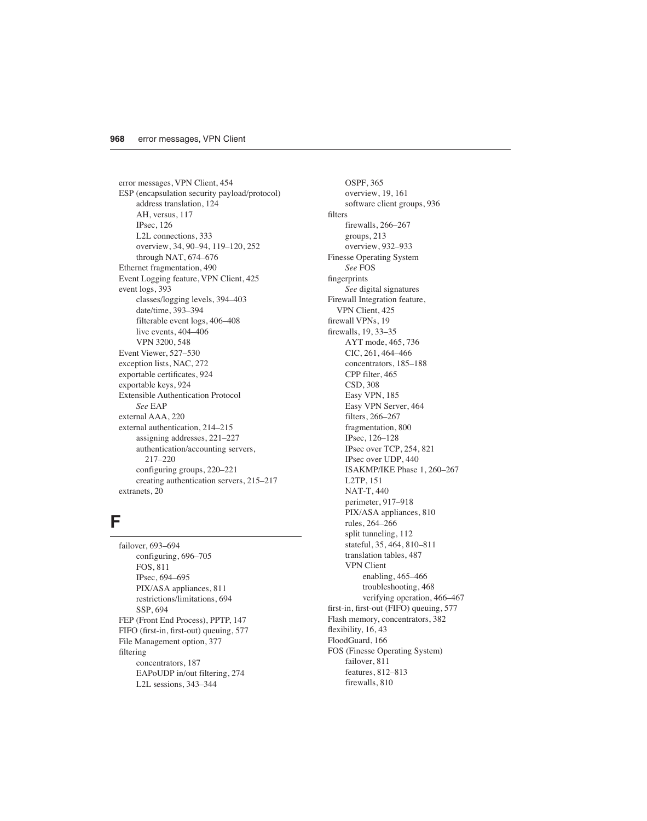error messages, VPN Client, 454 ESP (encapsulation security payload/protocol) address translation, 124 AH, versus, 117 IPsec, 126 L2L connections, 333 overview, 34, 90–94, 119–120, 252 through NAT, 674–676 Ethernet fragmentation, 490 Event Logging feature, VPN Client, 425 event logs, 393 classes/logging levels, 394–403 date/time, 393–394 filterable event logs, 406–408 live events, 404–406 VPN 3200, 548 Event Viewer, 527–530 exception lists, NAC, 272 exportable certificates, 924 exportable keys, 924 Extensible Authentication Protocol *See* EAP external AAA, 220 external authentication, 214–215 assigning addresses, 221–227 authentication/accounting servers, 217–220 configuring groups, 220–221 creating authentication servers, 215–217 extranets, 20

#### **F**

failover, 693–694 configuring, 696–705 FOS, 811 IPsec, 694–695 PIX/ASA appliances, 811 restrictions/limitations, 694 SSP, 694 FEP (Front End Process), PPTP, 147 FIFO (first-in, first-out) queuing, 577 File Management option, 377 filtering concentrators, 187 EAPoUDP in/out filtering, 274 L2L sessions, 343–344

OSPF, 365 overview, 19, 161 software client groups, 936 filters firewalls, 266–267 groups, 213 overview, 932–933 Finesse Operating System *See* FOS fingerprints *See* digital signatures Firewall Integration feature, VPN Client, 425 firewall VPNs, 19 firewalls, 19, 33–35 AYT mode, 465, 736 CIC, 261, 464–466 concentrators, 185–188 CPP filter, 465 CSD, 308 Easy VPN, 185 Easy VPN Server, 464 filters, 266–267 fragmentation, 800 IPsec, 126–128 IPsec over TCP, 254, 821 IPsec over UDP, 440 ISAKMP/IKE Phase 1, 260–267 L2TP, 151 NAT-T, 440 perimeter, 917–918 PIX/ASA appliances, 810 rules, 264–266 split tunneling, 112 stateful, 35, 464, 810–811 translation tables, 487 VPN Client enabling, 465–466 troubleshooting, 468 verifying operation, 466–467 first-in, first-out (FIFO) queuing, 577 Flash memory, concentrators, 382 flexibility, 16, 43 FloodGuard, 166 FOS (Finesse Operating System) failover, 811 features, 812–813 firewalls, 810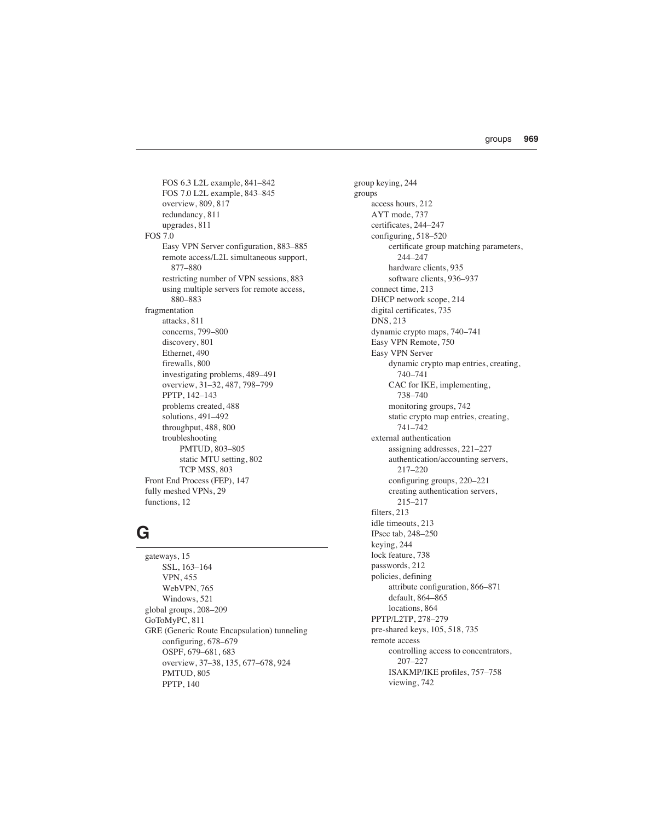FOS 6.3 L2L example, 841–842 FOS 7.0 L2L example, 843–845 overview, 809, 817 redundancy, 811 upgrades, 811 FOS 7.0 Easy VPN Server configuration, 883–885 remote access/L2L simultaneous support, 877–880 restricting number of VPN sessions, 883 using multiple servers for remote access, 880–883 fragmentation attacks, 811 concerns, 799–800 discovery, 801 Ethernet, 490 firewalls, 800 investigating problems, 489–491 overview, 31–32, 487, 798–799 PPTP, 142–143 problems created, 488 solutions, 491–492 throughput, 488, 800 troubleshooting PMTUD, 803–805 static MTU setting, 802 TCP MSS, 803 Front End Process (FEP), 147 fully meshed VPNs, 29 functions, 12

#### **G**

gateways, 15 SSL, 163–164 VPN, 455 WebVPN, 765 Windows, 521 global groups, 208–209 GoToMyPC, 811 GRE (Generic Route Encapsulation) tunneling configuring, 678–679 OSPF, 679–681, 683 overview, 37–38, 135, 677–678, 924 PMTUD, 805 PPTP, 140

group keying, 244 groups access hours, 212 AYT mode, 737 certificates, 244–247 configuring, 518–520 certificate group matching parameters, 244–247 hardware clients, 935 software clients, 936–937 connect time, 213 DHCP network scope, 214 digital certificates, 735 DNS, 213 dynamic crypto maps, 740–741 Easy VPN Remote, 750 Easy VPN Server dynamic crypto map entries, creating, 740–741 CAC for IKE, implementing, 738–740 monitoring groups, 742 static crypto map entries, creating, 741–742 external authentication assigning addresses, 221–227 authentication/accounting servers, 217–220 configuring groups, 220–221 creating authentication servers, 215–217 filters, 213 idle timeouts, 213 IPsec tab, 248–250 keying, 244 lock feature, 738 passwords, 212 policies, defining attribute configuration, 866–871 default, 864–865 locations, 864 PPTP/L2TP, 278–279 pre-shared keys, 105, 518, 735 remote access controlling access to concentrators, 207–227 ISAKMP/IKE profiles, 757–758 viewing, 742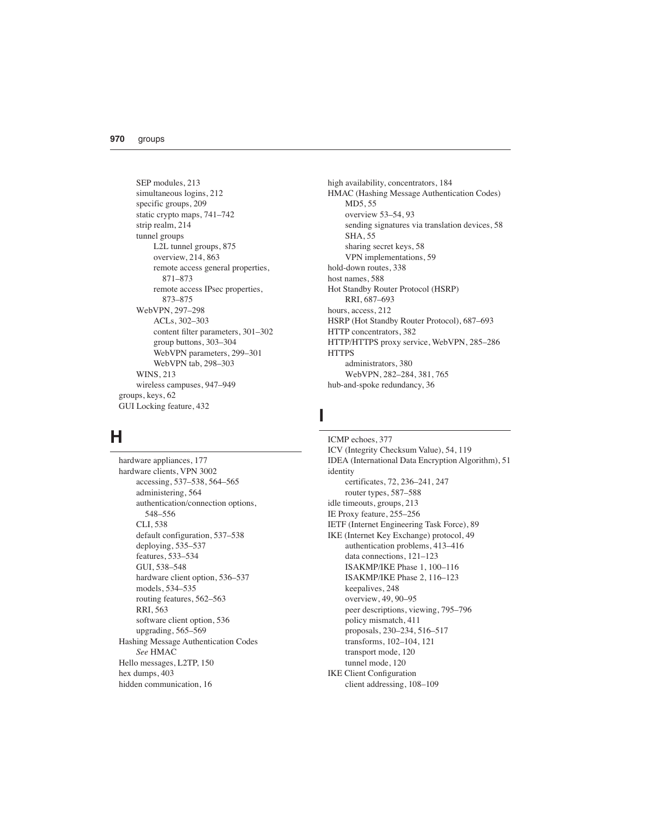SEP modules, 213 simultaneous logins, 212 specific groups, 209 static crypto maps, 741–742 strip realm, 214 tunnel groups L2L tunnel groups, 875 overview, 214, 863 remote access general properties, 871–873 remote access IPsec properties, 873–875 WebVPN, 297–298 ACLs, 302–303 content filter parameters, 301–302 group buttons, 303–304 WebVPN parameters, 299–301 WebVPN tab, 298–303 WINS, 213 wireless campuses, 947–949 groups, keys, 62 GUI Locking feature, 432

# **H**

hardware appliances, 177 hardware clients, VPN 3002 accessing, 537–538, 564–565 administering, 564 authentication/connection options, 548–556 CLI, 538 default configuration, 537–538 deploying, 535–537 features, 533–534 GUI, 538–548 hardware client option, 536–537 models, 534–535 routing features, 562–563 RRI, 563 software client option, 536 upgrading, 565–569 Hashing Message Authentication Codes *See* HMAC Hello messages, L2TP, 150 hex dumps, 403 hidden communication, 16

high availability, concentrators, 184 HMAC (Hashing Message Authentication Codes) MD5, 55 overview 53–54, 93 sending signatures via translation devices, 58 SHA, 55 sharing secret keys, 58 VPN implementations, 59 hold-down routes, 338 host names, 588 Hot Standby Router Protocol (HSRP) RRI, 687–693 hours, access, 212 HSRP (Hot Standby Router Protocol), 687–693 HTTP concentrators, 382 HTTP/HTTPS proxy service, WebVPN, 285–286 **HTTPS** administrators, 380 WebVPN, 282–284, 381, 765 hub-and-spoke redundancy, 36

### **I**

ICMP echoes, 377 ICV (Integrity Checksum Value), 54, 119 IDEA (International Data Encryption Algorithm), 51 identity certificates, 72, 236–241, 247 router types, 587–588 idle timeouts, groups, 213 IE Proxy feature, 255–256 IETF (Internet Engineering Task Force), 89 IKE (Internet Key Exchange) protocol, 49 authentication problems, 413–416 data connections, 121–123 ISAKMP/IKE Phase 1, 100–116 ISAKMP/IKE Phase 2, 116–123 keepalives, 248 overview, 49, 90–95 peer descriptions, viewing, 795–796 policy mismatch, 411 proposals, 230–234, 516–517 transforms, 102–104, 121 transport mode, 120 tunnel mode, 120 IKE Client Configuration client addressing, 108–109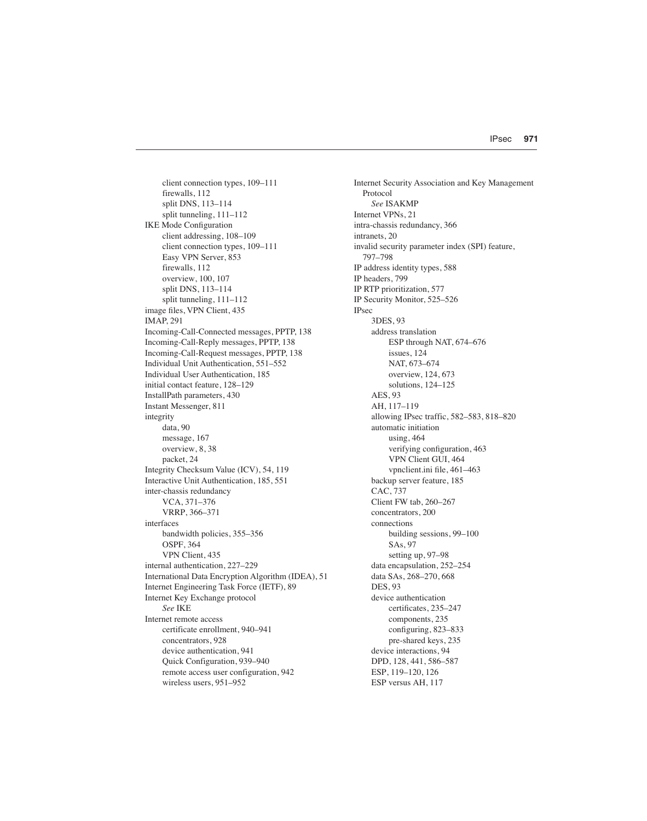client connection types, 109–111 firewalls, 112 split DNS, 113–114 split tunneling, 111–112 IKE Mode Configuration client addressing, 108–109 client connection types, 109–111 Easy VPN Server, 853 firewalls, 112 overview, 100, 107 split DNS, 113–114 split tunneling, 111–112 image files, VPN Client, 435 IMAP, 291 Incoming-Call-Connected messages, PPTP, 138 Incoming-Call-Reply messages, PPTP, 138 Incoming-Call-Request messages, PPTP, 138 Individual Unit Authentication, 551–552 Individual User Authentication, 185 initial contact feature, 128–129 InstallPath parameters, 430 Instant Messenger, 811 integrity data, 90 message, 167 overview, 8, 38 packet, 24 Integrity Checksum Value (ICV), 54, 119 Interactive Unit Authentication, 185, 551 inter-chassis redundancy VCA, 371–376 VRRP, 366–371 interfaces bandwidth policies, 355–356 OSPF, 364 VPN Client, 435 internal authentication, 227–229 International Data Encryption Algorithm (IDEA), 51 Internet Engineering Task Force (IETF), 89 Internet Key Exchange protocol *See* IKE Internet remote access certificate enrollment, 940–941 concentrators, 928 device authentication, 941 Quick Configuration, 939–940 remote access user configuration, 942 wireless users, 951–952

Internet Security Association and Key Management Protocol *See* ISAKMP Internet VPNs, 21 intra-chassis redundancy, 366 intranets, 20 invalid security parameter index (SPI) feature, 797–798 IP address identity types, 588 IP headers, 799 IP RTP prioritization, 577 IP Security Monitor, 525–526 IPsec 3DES, 93 address translation ESP through NAT, 674–676 issues, 124 NAT, 673–674 overview, 124, 673 solutions, 124–125 AES, 93 AH, 117–119 allowing IPsec traffic, 582–583, 818–820 automatic initiation using, 464 verifying configuration, 463 VPN Client GUI, 464 vpnclient.ini file, 461–463 backup server feature, 185 CAC, 737 Client FW tab, 260–267 concentrators, 200 connections building sessions, 99–100 SAs, 97 setting up, 97–98 data encapsulation, 252–254 data SAs, 268–270, 668 DES, 93 device authentication certificates, 235–247 components, 235 configuring, 823–833 pre-shared keys, 235 device interactions, 94 DPD, 128, 441, 586–587 ESP, 119–120, 126 ESP versus AH, 117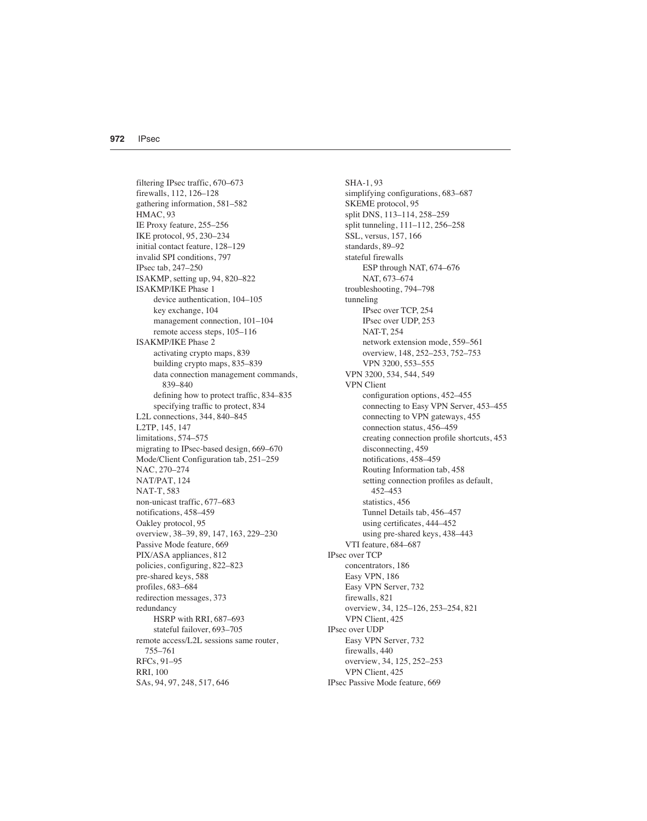filtering IPsec traffic, 670–673 firewalls, 112, 126–128 gathering information, 581–582 HMAC, 93 IE Proxy feature, 255–256 IKE protocol, 95, 230–234 initial contact feature, 128–129 invalid SPI conditions, 797 IPsec tab, 247–250 ISAKMP, setting up, 94, 820–822 ISAKMP/IKE Phase 1 device authentication, 104–105 key exchange, 104 management connection, 101–104 remote access steps, 105–116 ISAKMP/IKE Phase 2 activating crypto maps, 839 building crypto maps, 835–839 data connection management commands, 839–840 defining how to protect traffic, 834–835 specifying traffic to protect, 834 L2L connections, 344, 840–845 L2TP, 145, 147 limitations, 574–575 migrating to IPsec-based design, 669–670 Mode/Client Configuration tab, 251–259 NAC, 270–274 NAT/PAT, 124 NAT-T, 583 non-unicast traffic, 677–683 notifications, 458–459 Oakley protocol, 95 overview, 38–39, 89, 147, 163, 229–230 Passive Mode feature, 669 PIX/ASA appliances, 812 policies, configuring, 822–823 pre-shared keys, 588 profiles, 683–684 redirection messages, 373 redundancy HSRP with RRI, 687–693 stateful failover, 693–705 remote access/L2L sessions same router, 755–761 RFCs, 91–95 RRI, 100 SAs, 94, 97, 248, 517, 646

SHA-1, 93 simplifying configurations, 683–687 SKEME protocol, 95 split DNS, 113–114, 258–259 split tunneling, 111–112, 256–258 SSL, versus, 157, 166 standards, 89–92 stateful firewalls ESP through NAT, 674–676 NAT, 673–674 troubleshooting, 794–798 tunneling IPsec over TCP, 254 IPsec over UDP, 253 NAT-T, 254 network extension mode, 559–561 overview, 148, 252–253, 752–753 VPN 3200, 553–555 VPN 3200, 534, 544, 549 VPN Client configuration options, 452–455 connecting to Easy VPN Server, 453–455 connecting to VPN gateways, 455 connection status, 456–459 creating connection profile shortcuts, 453 disconnecting, 459 notifications, 458–459 Routing Information tab, 458 setting connection profiles as default, 452–453 statistics, 456 Tunnel Details tab, 456–457 using certificates, 444–452 using pre-shared keys, 438–443 VTI feature, 684–687 IPsec over TCP concentrators, 186 Easy VPN, 186 Easy VPN Server, 732 firewalls, 821 overview, 34, 125–126, 253–254, 821 VPN Client, 425 IPsec over UDP Easy VPN Server, 732 firewalls, 440 overview, 34, 125, 252–253 VPN Client, 425 IPsec Passive Mode feature, 669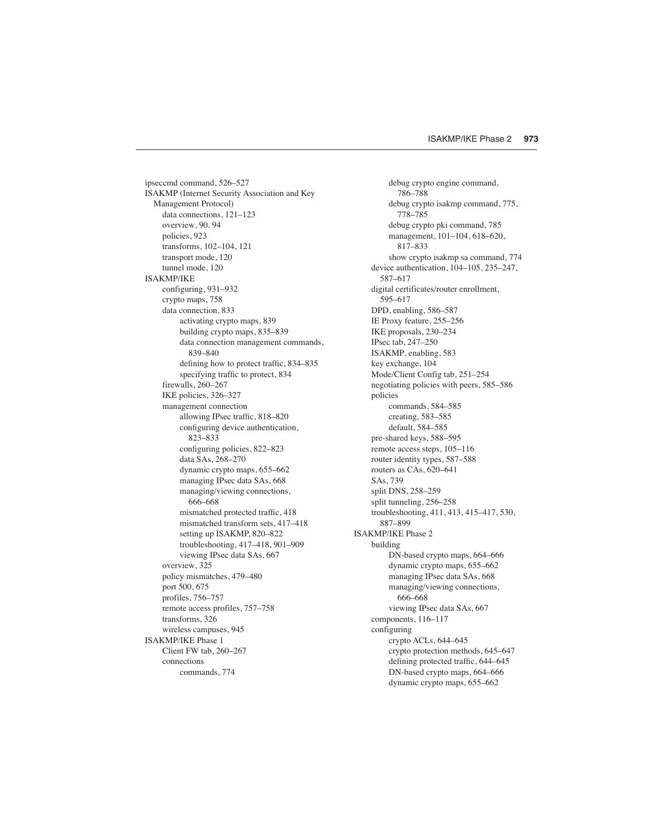ipseccmd command, 526–527 ISAKMP (Internet Security Association and Key Management Protocol) data connections, 121–123 overview, 90. 94 policies, 923 transforms, 102–104, 121 transport mode, 120 tunnel mode, 120 ISAKMP/IKE configuring, 931–932 crypto maps, 758 data connection, 833 activating crypto maps, 839 building crypto maps, 835–839 data connection management commands, 839–840 defining how to protect traffic, 834–835 specifying traffic to protect, 834 firewalls, 260–267 IKE policies, 326–327 management connection allowing IPsec traffic, 818–820 configuring device authentication, 823–833 configuring policies, 822–823 data SAs, 268–270 dynamic crypto maps, 655–662 managing IPsec data SAs, 668 managing/viewing connections, 666–668 mismatched protected traffic, 418 mismatched transform sets, 417–418 setting up ISAKMP, 820–822 troubleshooting, 417–418, 901–909 viewing IPsec data SAs, 667 overview, 325 policy mismatches, 479–480 port 500, 675 profiles, 756–757 remote access profiles, 757–758 transforms, 326 wireless campuses, 945 ISAKMP/IKE Phase 1 Client FW tab, 260–267 connections commands, 774

debug crypto engine command, 786–788 debug crypto isakmp command, 775, 778–785 debug crypto pki command, 785 management, 101–104, 618–620, 817–833 show crypto isakmp sa command, 774 device authentication, 104–105, 235–247, 587–617 digital certificates/router enrollment, 595–617 DPD, enabling, 586–587 IE Proxy feature, 255–256 IKE proposals, 230–234 IPsec tab, 247–250 ISAKMP, enabling, 583 key exchange, 104 Mode/Client Config tab, 251–254 negotiating policies with peers, 585–586 policies commands, 584–585 creating, 583–585 default, 584–585 pre-shared keys, 588–595 remote access steps, 105–116 router identity types, 587–588 routers as CAs, 620–641 SAs, 739 split DNS, 258–259 split tunneling, 256–258 troubleshooting, 411, 413, 415–417, 530, 887–899 ISAKMP/IKE Phase 2 building DN-based crypto maps, 664–666 dynamic crypto maps, 655–662 managing IPsec data SAs, 668 managing/viewing connections, 666–668 viewing IPsec data SAs, 667 components, 116–117 configuring crypto ACLs, 644–645 crypto protection methods, 645–647 defining protected traffic, 644–645 DN-based crypto maps, 664–666 dynamic crypto maps, 655–662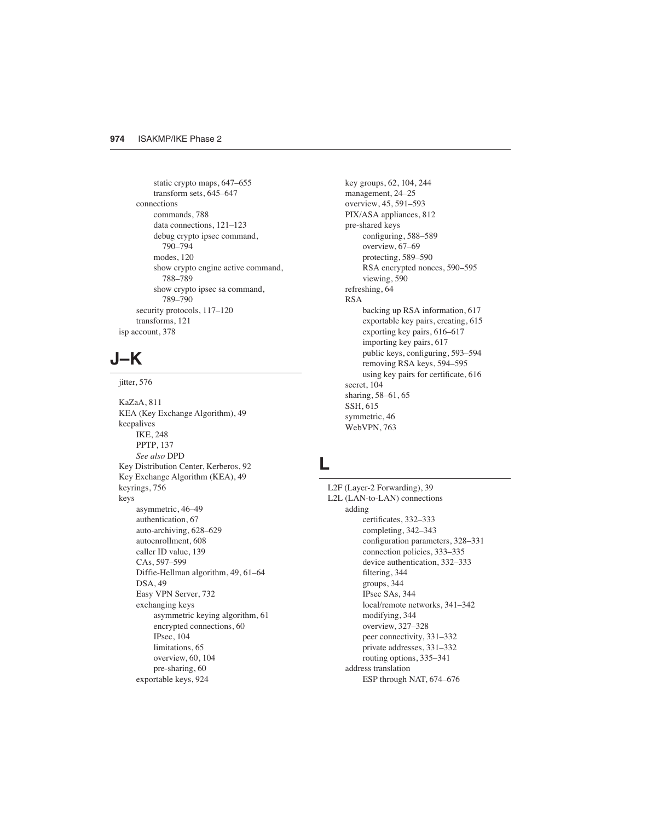static crypto maps, 647–655 transform sets, 645–647 connections commands, 788 data connections, 121–123 debug crypto ipsec command, 790–794 modes, 120 show crypto engine active command, 788–789 show crypto ipsec sa command, 789–790 security protocols, 117–120 transforms, 121 isp account, 378

### **J–K**

jitter, 576

KaZaA, 811 KEA (Key Exchange Algorithm), 49 keepalives IKE, 248 PPTP, 137 *See also* DPD Key Distribution Center, Kerberos, 92 Key Exchange Algorithm (KEA), 49 keyrings, 756 keys asymmetric, 46–49 authentication, 67 auto-archiving, 628–629 autoenrollment, 608 caller ID value, 139 CAs, 597–599 Diffie-Hellman algorithm, 49, 61–64 DSA, 49 Easy VPN Server, 732 exchanging keys asymmetric keying algorithm, 61 encrypted connections, 60 IPsec, 104 limitations, 65 overview, 60, 104 pre-sharing, 60 exportable keys, 924

key groups, 62, 104, 244 management, 24–25 overview, 45, 591–593 PIX/ASA appliances, 812 pre-shared keys configuring, 588–589 overview, 67–69 protecting, 589–590 RSA encrypted nonces, 590–595 viewing, 590 refreshing, 64 RSA backing up RSA information, 617 exportable key pairs, creating, 615 exporting key pairs, 616–617 importing key pairs, 617 public keys, configuring, 593–594 removing RSA keys, 594–595 using key pairs for certificate, 616 secret, 104 sharing, 58–61, 65 SSH, 615 symmetric, 46 WebVPN, 763

### **L**

L2F (Layer-2 Forwarding), 39 L2L (LAN-to-LAN) connections adding certificates, 332–333 completing, 342–343 configuration parameters, 328–331 connection policies, 333–335 device authentication, 332–333 filtering, 344 groups, 344 IPsec SAs, 344 local/remote networks, 341–342 modifying, 344 overview, 327–328 peer connectivity, 331–332 private addresses, 331–332 routing options, 335–341 address translation ESP through NAT, 674–676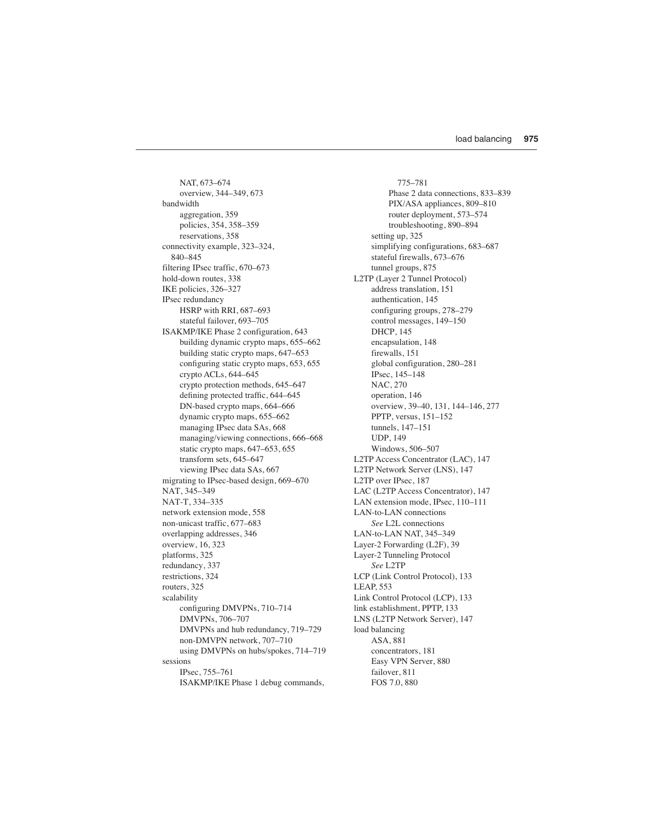NAT, 673–674 overview, 344–349, 673 bandwidth aggregation, 359 policies, 354, 358–359 reservations, 358 connectivity example, 323–324, 840–845 filtering IPsec traffic, 670–673 hold-down routes, 338 IKE policies, 326–327 IPsec redundancy HSRP with RRI, 687–693 stateful failover, 693–705 ISAKMP/IKE Phase 2 configuration, 643 building dynamic crypto maps, 655–662 building static crypto maps, 647–653 configuring static crypto maps, 653, 655 crypto ACLs, 644–645 crypto protection methods, 645–647 defining protected traffic, 644–645 DN-based crypto maps, 664–666 dynamic crypto maps, 655–662 managing IPsec data SAs, 668 managing/viewing connections, 666–668 static crypto maps, 647–653, 655 transform sets, 645–647 viewing IPsec data SAs, 667 migrating to IPsec-based design, 669–670 NAT, 345–349 NAT-T, 334–335 network extension mode, 558 non-unicast traffic, 677–683 overlapping addresses, 346 overview, 16, 323 platforms, 325 redundancy, 337 restrictions, 324 routers, 325 scalability configuring DMVPNs, 710–714 DMVPNs, 706–707 DMVPNs and hub redundancy, 719–729 non-DMVPN network, 707–710 using DMVPNs on hubs/spokes, 714–719 sessions IPsec, 755–761 ISAKMP/IKE Phase 1 debug commands,

775–781 Phase 2 data connections, 833–839 PIX/ASA appliances, 809–810 router deployment, 573–574 troubleshooting, 890–894 setting up, 325 simplifying configurations, 683–687 stateful firewalls, 673–676 tunnel groups, 875 L2TP (Layer 2 Tunnel Protocol) address translation, 151 authentication, 145 configuring groups, 278–279 control messages, 149–150 DHCP, 145 encapsulation, 148 firewalls, 151 global configuration, 280–281 IPsec, 145–148 NAC, 270 operation, 146 overview, 39–40, 131, 144–146, 277 PPTP, versus, 151–152 tunnels, 147–151 UDP, 149 Windows, 506–507 L2TP Access Concentrator (LAC), 147 L2TP Network Server (LNS), 147 L2TP over IPsec, 187 LAC (L2TP Access Concentrator), 147 LAN extension mode, IPsec, 110–111 LAN-to-LAN connections *See* L2L connections LAN-to-LAN NAT, 345–349 Layer-2 Forwarding (L2F), 39 Layer-2 Tunneling Protocol *See* L2TP LCP (Link Control Protocol), 133 LEAP, 553 Link Control Protocol (LCP), 133 link establishment, PPTP, 133 LNS (L2TP Network Server), 147 load balancing ASA, 881 concentrators, 181 Easy VPN Server, 880 failover, 811 FOS 7.0, 880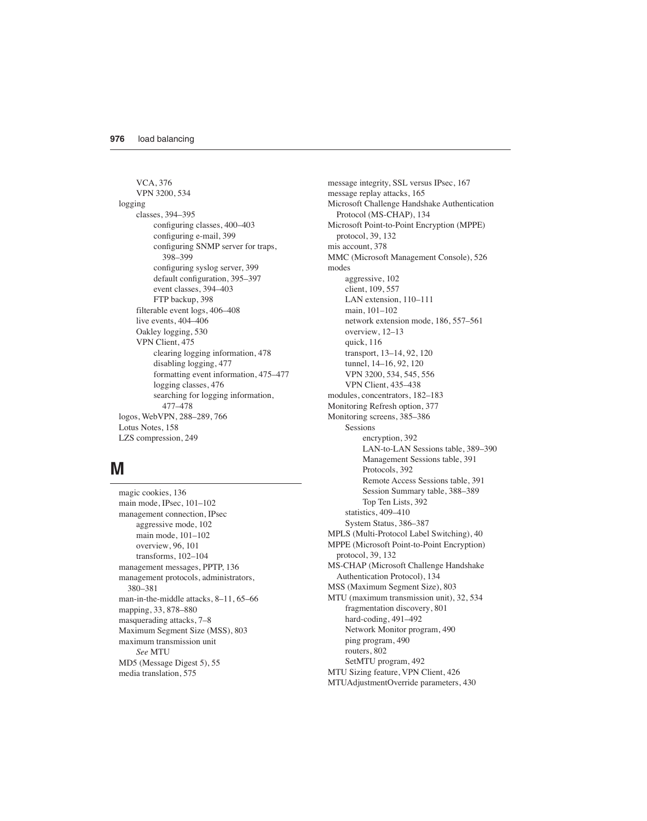VCA, 376 VPN 3200, 534 logging classes, 394–395 configuring classes, 400–403 configuring e-mail, 399 configuring SNMP server for traps, 398–399 configuring syslog server, 399 default configuration, 395–397 event classes, 394–403 FTP backup, 398 filterable event logs, 406–408 live events, 404–406 Oakley logging, 530 VPN Client, 475 clearing logging information, 478 disabling logging, 477 formatting event information, 475–477 logging classes, 476 searching for logging information, 477–478 logos, WebVPN, 288–289, 766 Lotus Notes, 158 LZS compression, 249

### **M**

magic cookies, 136 main mode, IPsec, 101–102 management connection, IPsec aggressive mode, 102 main mode, 101–102 overview, 96, 101 transforms, 102–104 management messages, PPTP, 136 management protocols, administrators, 380–381 man-in-the-middle attacks, 8–11, 65–66 mapping, 33, 878–880 masquerading attacks, 7–8 Maximum Segment Size (MSS), 803 maximum transmission unit *See* MTU MD5 (Message Digest 5), 55 media translation, 575

message integrity, SSL versus IPsec, 167 message replay attacks, 165 Microsoft Challenge Handshake Authentication Protocol (MS-CHAP), 134 Microsoft Point-to-Point Encryption (MPPE) protocol, 39, 132 mis account, 378 MMC (Microsoft Management Console), 526 modes aggressive, 102 client, 109, 557 LAN extension, 110–111 main, 101–102 network extension mode, 186, 557–561 overview, 12–13 quick, 116 transport, 13–14, 92, 120 tunnel, 14–16, 92, 120 VPN 3200, 534, 545, 556 VPN Client, 435–438 modules, concentrators, 182–183 Monitoring Refresh option, 377 Monitoring screens, 385–386 Sessions encryption, 392 LAN-to-LAN Sessions table, 389–390 Management Sessions table, 391 Protocols, 392 Remote Access Sessions table, 391 Session Summary table, 388–389 Top Ten Lists, 392 statistics, 409–410 System Status, 386–387 MPLS (Multi-Protocol Label Switching), 40 MPPE (Microsoft Point-to-Point Encryption) protocol, 39, 132 MS-CHAP (Microsoft Challenge Handshake Authentication Protocol), 134 MSS (Maximum Segment Size), 803 MTU (maximum transmission unit), 32, 534 fragmentation discovery, 801 hard-coding, 491–492 Network Monitor program, 490 ping program, 490 routers, 802 SetMTU program, 492 MTU Sizing feature, VPN Client, 426 MTUAdjustmentOverride parameters, 430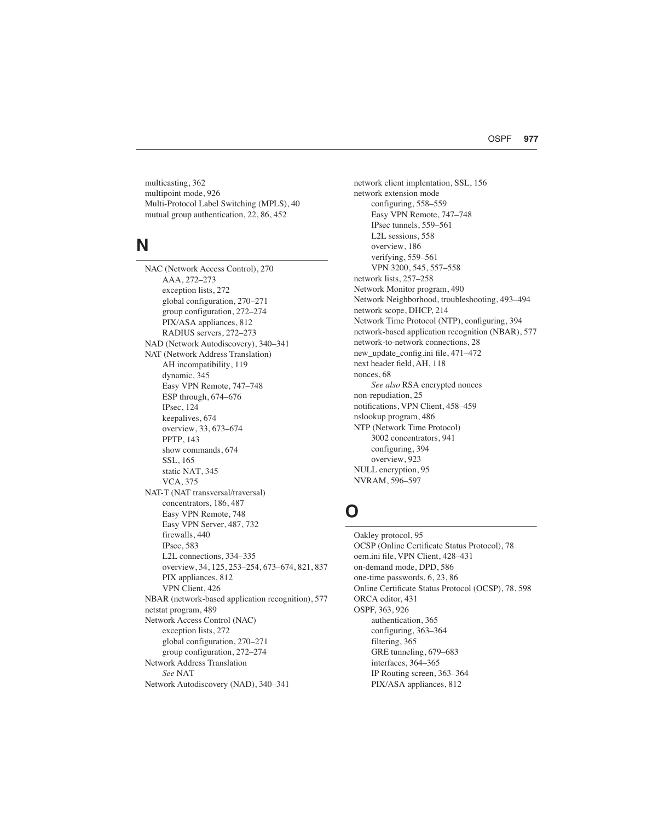multicasting, 362 multipoint mode, 926 Multi-Protocol Label Switching (MPLS), 40 mutual group authentication, 22, 86, 452

#### **N**

NAC (Network Access Control), 270 AAA, 272–273 exception lists, 272 global configuration, 270–271 group configuration, 272–274 PIX/ASA appliances, 812 RADIUS servers, 272–273 NAD (Network Autodiscovery), 340–341 NAT (Network Address Translation) AH incompatibility, 119 dynamic, 345 Easy VPN Remote, 747–748 ESP through, 674–676 IPsec, 124 keepalives, 674 overview, 33, 673–674 PPTP, 143 show commands, 674 SSL, 165 static NAT, 345 VCA, 375 NAT-T (NAT transversal/traversal) concentrators, 186, 487 Easy VPN Remote, 748 Easy VPN Server, 487, 732 firewalls, 440 IPsec, 583 L2L connections, 334–335 overview, 34, 125, 253–254, 673–674, 821, 837 PIX appliances, 812 VPN Client, 426 NBAR (network-based application recognition), 577 netstat program, 489 Network Access Control (NAC) exception lists, 272 global configuration, 270–271 group configuration, 272–274 Network Address Translation *See* NAT Network Autodiscovery (NAD), 340–341

network client implentation, SSL, 156 network extension mode configuring, 558–559 Easy VPN Remote, 747–748 IPsec tunnels, 559–561 L2L sessions, 558 overview, 186 verifying, 559–561 VPN 3200, 545, 557–558 network lists, 257–258 Network Monitor program, 490 Network Neighborhood, troubleshooting, 493–494 network scope, DHCP, 214 Network Time Protocol (NTP), configuring, 394 network-based application recognition (NBAR), 577 network-to-network connections, 28 new\_update\_config.ini file, 471–472 next header field, AH, 118 nonces, 68 *See also* RSA encrypted nonces non-repudiation, 25 notifications, VPN Client, 458–459 nslookup program, 486 NTP (Network Time Protocol) 3002 concentrators, 941 configuring, 394 overview, 923 NULL encryption, 95 NVRAM, 596–597

### **O**

Oakley protocol, 95 OCSP (Online Certificate Status Protocol), 78 oem.ini file, VPN Client, 428–431 on-demand mode, DPD, 586 one-time passwords, 6, 23, 86 Online Certificate Status Protocol (OCSP), 78, 598 ORCA editor, 431 OSPF, 363, 926 authentication, 365 configuring, 363–364 filtering, 365 GRE tunneling, 679–683 interfaces, 364–365 IP Routing screen, 363–364 PIX/ASA appliances, 812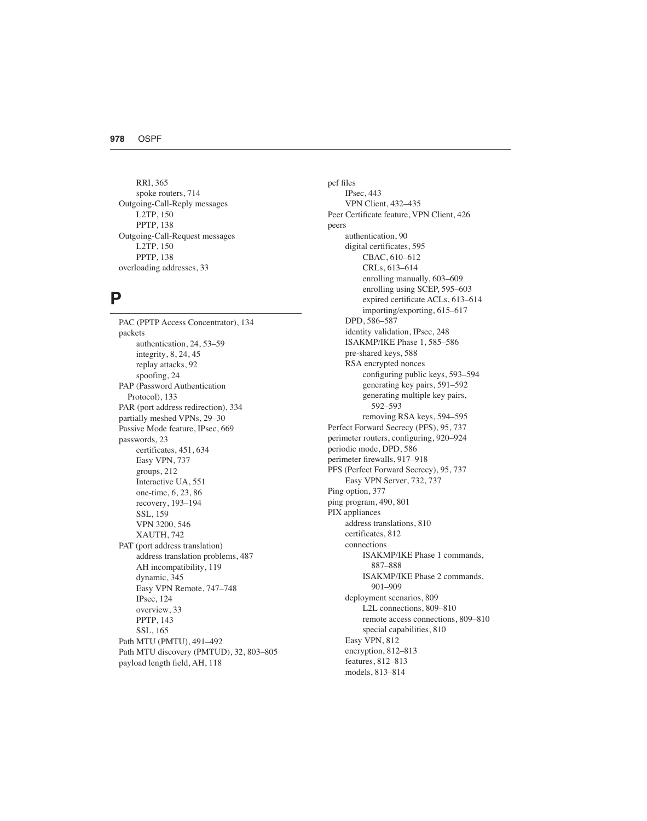RRI, 365 spoke routers, 714 Outgoing-Call-Reply messages L2TP, 150 PPTP, 138 Outgoing-Call-Request messages L2TP, 150 PPTP, 138 overloading addresses, 33

#### **P**

PAC (PPTP Access Concentrator), 134 packets authentication, 24, 53–59 integrity, 8, 24, 45 replay attacks, 92 spoofing, 24 PAP (Password Authentication Protocol), 133 PAR (port address redirection), 334 partially meshed VPNs, 29–30 Passive Mode feature, IPsec, 669 passwords, 23 certificates, 451, 634 Easy VPN, 737 groups, 212 Interactive UA, 551 one-time, 6, 23, 86 recovery, 193–194 SSL, 159 VPN 3200, 546 XAUTH, 742 PAT (port address translation) address translation problems, 487 AH incompatibility, 119 dynamic, 345 Easy VPN Remote, 747–748 IPsec, 124 overview, 33 PPTP, 143 SSL, 165 Path MTU (PMTU), 491–492 Path MTU discovery (PMTUD), 32, 803–805 payload length field, AH, 118

pcf files IPsec, 443 VPN Client, 432–435 Peer Certificate feature, VPN Client, 426 peers authentication, 90 digital certificates, 595 CBAC, 610–612 CRLs, 613–614 enrolling manually, 603–609 enrolling using SCEP, 595–603 expired certificate ACLs, 613–614 importing/exporting, 615–617 DPD, 586–587 identity validation, IPsec, 248 ISAKMP/IKE Phase 1, 585–586 pre-shared keys, 588 RSA encrypted nonces configuring public keys, 593–594 generating key pairs, 591–592 generating multiple key pairs, 592–593 removing RSA keys, 594–595 Perfect Forward Secrecy (PFS), 95, 737 perimeter routers, configuring, 920–924 periodic mode, DPD, 586 perimeter firewalls, 917–918 PFS (Perfect Forward Secrecy), 95, 737 Easy VPN Server, 732, 737 Ping option, 377 ping program, 490, 801 PIX appliances address translations, 810 certificates, 812 connections ISAKMP/IKE Phase 1 commands, 887–888 ISAKMP/IKE Phase 2 commands, 901–909 deployment scenarios, 809 L2L connections, 809–810 remote access connections, 809–810 special capabilities, 810 Easy VPN, 812 encryption, 812–813 features, 812–813 models, 813–814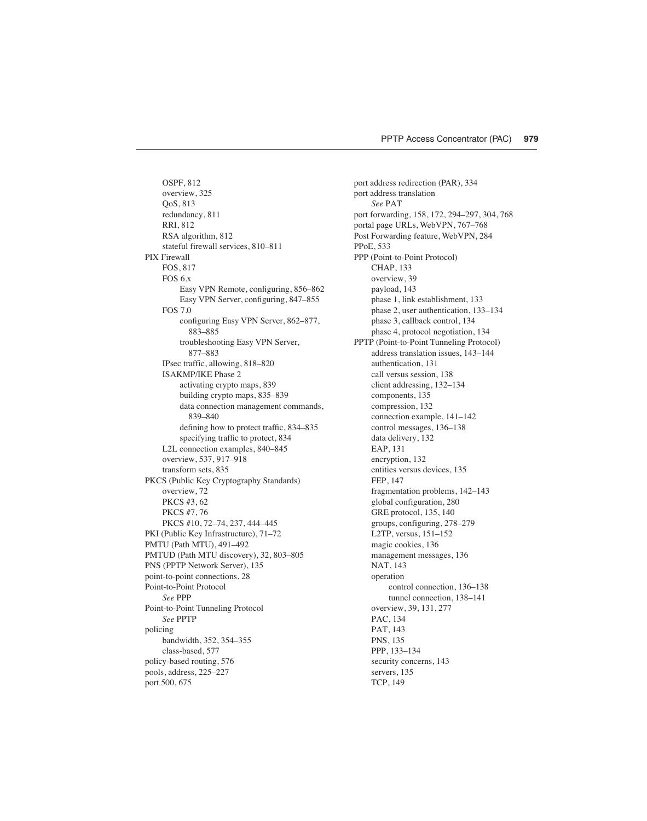OSPF, 812 overview, 325 QoS, 813 redundancy, 811 RRI, 812 RSA algorithm, 812 stateful firewall services, 810–811 PIX Firewall FOS, 817 FOS 6.x Easy VPN Remote, configuring, 856–862 Easy VPN Server, configuring, 847–855 FOS 7.0 configuring Easy VPN Server, 862–877, 883–885 troubleshooting Easy VPN Server, 877–883 IPsec traffic, allowing, 818–820 ISAKMP/IKE Phase 2 activating crypto maps, 839 building crypto maps, 835–839 data connection management commands, 839–840 defining how to protect traffic, 834–835 specifying traffic to protect, 834 L2L connection examples, 840–845 overview, 537, 917–918 transform sets, 835 PKCS (Public Key Cryptography Standards) overview, 72 PKCS #3, 62 PKCS #7, 76 PKCS #10, 72–74, 237, 444–445 PKI (Public Key Infrastructure), 71–72 PMTU (Path MTU), 491–492 PMTUD (Path MTU discovery), 32, 803–805 PNS (PPTP Network Server), 135 point-to-point connections, 28 Point-to-Point Protocol *See* PPP Point-to-Point Tunneling Protocol *See* PPTP policing bandwidth, 352, 354–355 class-based, 577 policy-based routing, 576 pools, address, 225–227 port 500, 675

port address redirection (PAR), 334 port address translation *See* PAT port forwarding, 158, 172, 294–297, 304, 768 portal page URLs, WebVPN, 767–768 Post Forwarding feature, WebVPN, 284 PPoE, 533 PPP (Point-to-Point Protocol) CHAP, 133 overview, 39 payload, 143 phase 1, link establishment, 133 phase 2, user authentication, 133–134 phase 3, callback control, 134 phase 4, protocol negotiation, 134 PPTP (Point-to-Point Tunneling Protocol) address translation issues, 143–144 authentication, 131 call versus session, 138 client addressing, 132–134 components, 135 compression, 132 connection example, 141–142 control messages, 136–138 data delivery, 132 EAP, 131 encryption, 132 entities versus devices, 135 FEP, 147 fragmentation problems, 142–143 global configuration, 280 GRE protocol, 135, 140 groups, configuring, 278–279 L2TP, versus, 151–152 magic cookies, 136 management messages, 136 NAT, 143 operation control connection, 136–138 tunnel connection, 138–141 overview, 39, 131, 277 PAC, 134 PAT, 143 PNS, 135 PPP, 133–134 security concerns, 143 servers, 135 TCP, 149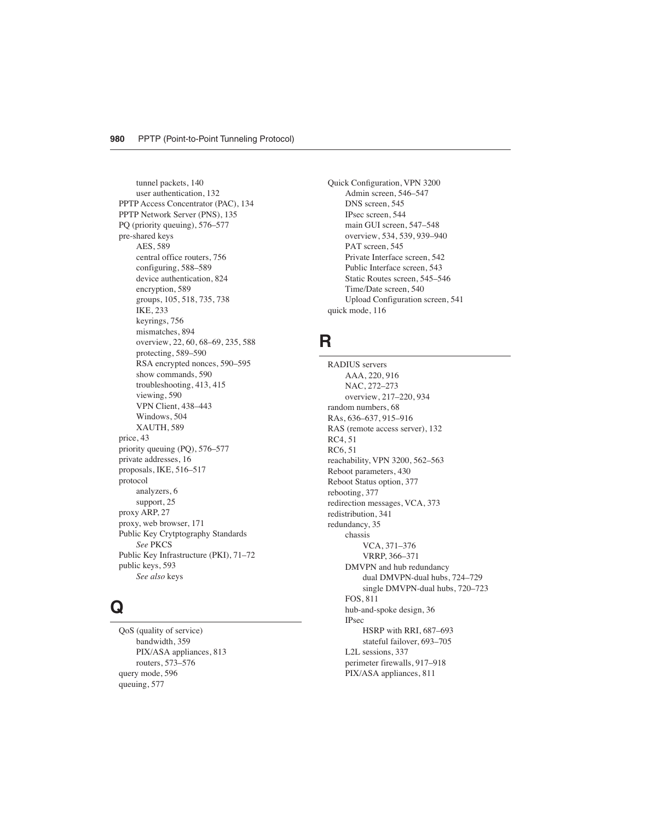tunnel packets, 140 user authentication, 132 PPTP Access Concentrator (PAC), 134 PPTP Network Server (PNS), 135 PQ (priority queuing), 576–577 pre-shared keys AES, 589 central office routers, 756 configuring, 588–589 device authentication, 824 encryption, 589 groups, 105, 518, 735, 738 IKE, 233 keyrings, 756 mismatches, 894 overview, 22, 60, 68–69, 235, 588 protecting, 589–590 RSA encrypted nonces, 590–595 show commands, 590 troubleshooting, 413, 415 viewing, 590 VPN Client, 438–443 Windows, 504 XAUTH, 589 price, 43 priority queuing (PQ), 576–577 private addresses, 16 proposals, IKE, 516–517 protocol analyzers, 6 support, 25 proxy ARP, 27 proxy, web browser, 171 Public Key Crytptography Standards *See* PKCS Public Key Infrastructure (PKI), 71–72 public keys, 593 *See also* keys

# **Q**

QoS (quality of service) bandwidth, 359 PIX/ASA appliances, 813 routers, 573–576 query mode, 596 queuing, 577

Quick Configuration, VPN 3200 Admin screen, 546–547 DNS screen, 545 IPsec screen, 544 main GUI screen, 547–548 overview, 534, 539, 939–940 PAT screen, 545 Private Interface screen, 542 Public Interface screen, 543 Static Routes screen, 545–546 Time/Date screen, 540 Upload Configuration screen, 541 quick mode, 116

### **R**

RADIUS servers AAA, 220, 916 NAC, 272–273 overview, 217–220, 934 random numbers, 68 RAs, 636–637, 915–916 RAS (remote access server), 132 RC4, 51 RC6, 51 reachability, VPN 3200, 562–563 Reboot parameters, 430 Reboot Status option, 377 rebooting, 377 redirection messages, VCA, 373 redistribution, 341 redundancy, 35 chassis VCA, 371–376 VRRP, 366–371 DMVPN and hub redundancy dual DMVPN-dual hubs, 724–729 single DMVPN-dual hubs, 720–723 FOS, 811 hub-and-spoke design, 36 IPsec HSRP with RRI, 687–693 stateful failover, 693–705 L2L sessions, 337 perimeter firewalls, 917–918 PIX/ASA appliances, 811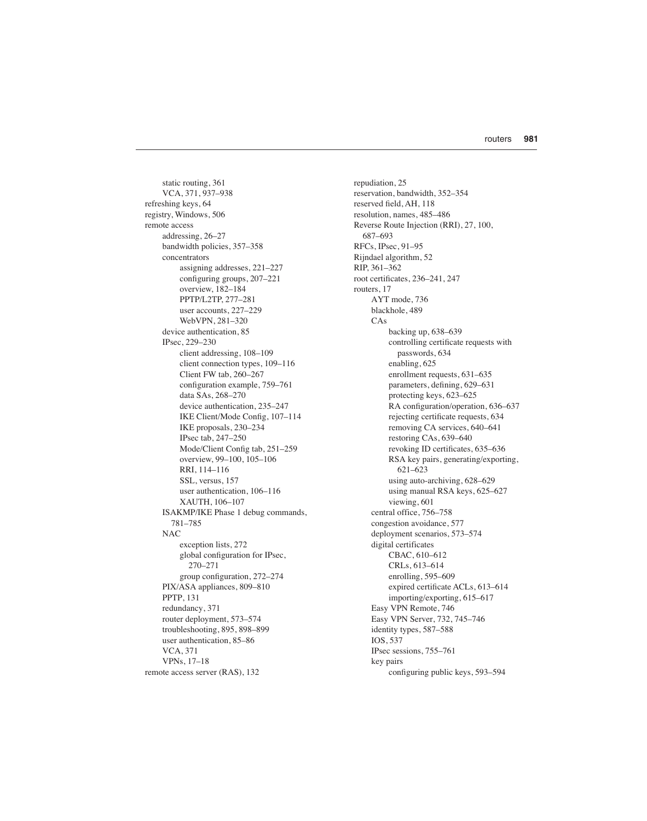static routing, 361 VCA, 371, 937–938 refreshing keys, 64 registry, Windows, 506 remote access addressing, 26–27 bandwidth policies, 357–358 concentrators assigning addresses, 221–227 configuring groups, 207–221 overview, 182–184 PPTP/L2TP, 277–281 user accounts, 227–229 WebVPN, 281–320 device authentication, 85 IPsec, 229–230 client addressing, 108–109 client connection types, 109–116 Client FW tab, 260–267 configuration example, 759–761 data SAs, 268–270 device authentication, 235–247 IKE Client/Mode Config, 107–114 IKE proposals, 230–234 IPsec tab, 247–250 Mode/Client Config tab, 251–259 overview, 99–100, 105–106 RRI, 114–116 SSL, versus, 157 user authentication, 106–116 XAUTH, 106–107 ISAKMP/IKE Phase 1 debug commands, 781–785 NAC exception lists, 272 global configuration for IPsec, 270–271 group configuration, 272–274 PIX/ASA appliances, 809–810 PPTP, 131 redundancy, 371 router deployment, 573–574 troubleshooting, 895, 898–899 user authentication, 85–86 VCA, 371 VPNs, 17–18 remote access server (RAS), 132

repudiation, 25 reservation, bandwidth, 352–354 reserved field, AH, 118 resolution, names, 485–486 Reverse Route Injection (RRI), 27, 100, 687–693 RFCs, IPsec, 91–95 Rijndael algorithm, 52 RIP, 361–362 root certificates, 236–241, 247 routers, 17 AYT mode, 736 blackhole, 489 CAs backing up, 638–639 controlling certificate requests with passwords, 634 enabling, 625 enrollment requests, 631–635 parameters, defining, 629–631 protecting keys, 623–625 RA configuration/operation, 636–637 rejecting certificate requests, 634 removing CA services, 640–641 restoring CAs, 639–640 revoking ID certificates, 635–636 RSA key pairs, generating/exporting, 621–623 using auto-archiving, 628–629 using manual RSA keys, 625–627 viewing, 601 central office, 756–758 congestion avoidance, 577 deployment scenarios, 573–574 digital certificates CBAC, 610–612 CRLs, 613–614 enrolling, 595–609 expired certificate ACLs, 613–614 importing/exporting, 615–617 Easy VPN Remote, 746 Easy VPN Server, 732, 745–746 identity types, 587–588 IOS, 537 IPsec sessions, 755–761 key pairs configuring public keys, 593–594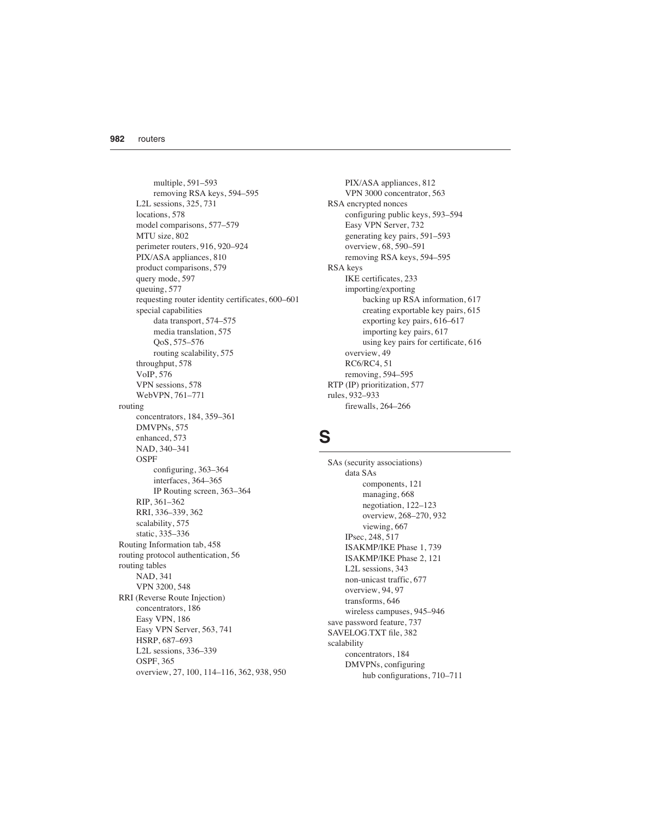multiple, 591–593 removing RSA keys, 594–595 L2L sessions, 325, 731 locations, 578 model comparisons, 577–579 MTU size, 802 perimeter routers, 916, 920–924 PIX/ASA appliances, 810 product comparisons, 579 query mode, 597 queuing, 577 requesting router identity certificates, 600–601 special capabilities data transport, 574–575 media translation, 575 QoS, 575–576 routing scalability, 575 throughput, 578 VoIP, 576 VPN sessions, 578 WebVPN, 761–771 routing concentrators, 184, 359–361 DMVPNs, 575 enhanced, 573 NAD, 340–341 OSPF configuring, 363–364 interfaces, 364–365 IP Routing screen, 363–364 RIP, 361–362 RRI, 336–339, 362 scalability, 575 static, 335–336 Routing Information tab, 458 routing protocol authentication, 56 routing tables NAD, 341 VPN 3200, 548 RRI (Reverse Route Injection) concentrators, 186 Easy VPN, 186 Easy VPN Server, 563, 741 HSRP, 687–693 L2L sessions, 336–339 OSPF, 365 overview, 27, 100, 114–116, 362, 938, 950

PIX/ASA appliances, 812 VPN 3000 concentrator, 563 RSA encrypted nonces configuring public keys, 593–594 Easy VPN Server, 732 generating key pairs, 591–593 overview, 68, 590–591 removing RSA keys, 594–595 RSA keys IKE certificates, 233 importing/exporting backing up RSA information, 617 creating exportable key pairs, 615 exporting key pairs, 616–617 importing key pairs, 617 using key pairs for certificate, 616 overview, 49 RC6/RC4, 51 removing, 594–595 RTP (IP) prioritization, 577 rules, 932–933 firewalls, 264–266

### **S**

SAs (security associations) data SAs components, 121 managing, 668 negotiation, 122–123 overview, 268–270, 932 viewing, 667 IPsec, 248, 517 ISAKMP/IKE Phase 1, 739 ISAKMP/IKE Phase 2, 121 L2L sessions, 343 non-unicast traffic, 677 overview, 94, 97 transforms, 646 wireless campuses, 945–946 save password feature, 737 SAVELOG.TXT file, 382 scalability concentrators, 184 DMVPNs, configuring hub configurations, 710–711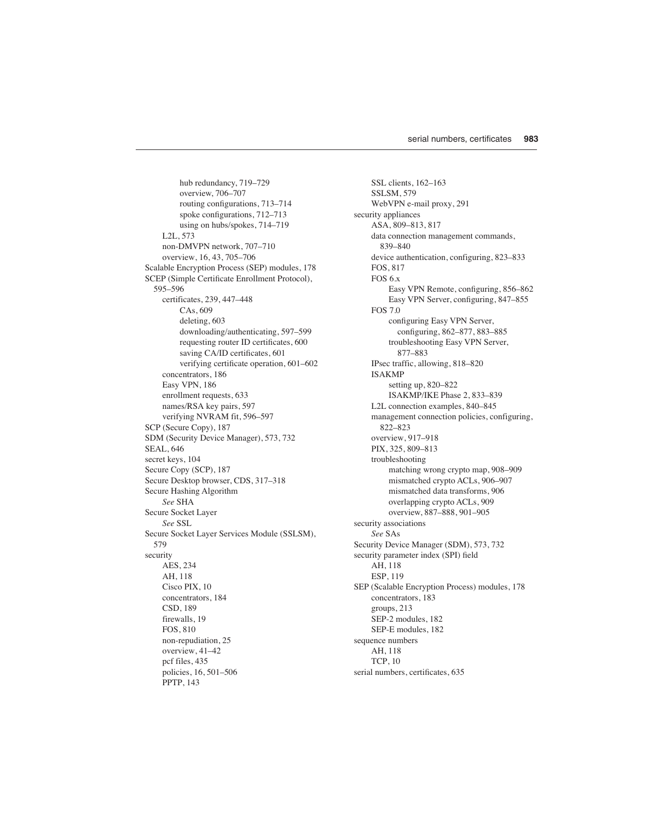hub redundancy, 719–729 overview, 706–707 routing configurations, 713–714 spoke configurations, 712–713 using on hubs/spokes, 714–719 L2L, 573 non-DMVPN network, 707–710 overview, 16, 43, 705–706 Scalable Encryption Process (SEP) modules, 178 SCEP (Simple Certificate Enrollment Protocol), 595–596 certificates, 239, 447–448 CAs, 609 deleting, 603 downloading/authenticating, 597–599 requesting router ID certificates, 600 saving CA/ID certificates, 601 verifying certificate operation, 601–602 concentrators, 186 Easy VPN, 186 enrollment requests, 633 names/RSA key pairs, 597 verifying NVRAM fit, 596–597 SCP (Secure Copy), 187 SDM (Security Device Manager), 573, 732 SEAL, 646 secret keys, 104 Secure Copy (SCP), 187 Secure Desktop browser, CDS, 317–318 Secure Hashing Algorithm *See* SHA Secure Socket Layer *See* SSL Secure Socket Layer Services Module (SSLSM), 579 security AES, 234 AH, 118 Cisco PIX, 10 concentrators, 184 CSD, 189 firewalls, 19 FOS, 810 non-repudiation, 25 overview, 41–42 pcf files, 435 policies, 16, 501–506 PPTP, 143

SSL clients, 162–163 SSLSM, 579 WebVPN e-mail proxy, 291 security appliances ASA, 809–813, 817 data connection management commands, 839–840 device authentication, configuring, 823–833 FOS, 817 FOS 6.x Easy VPN Remote, configuring, 856–862 Easy VPN Server, configuring, 847–855 FOS 7.0 configuring Easy VPN Server, configuring, 862–877, 883–885 troubleshooting Easy VPN Server, 877–883 IPsec traffic, allowing, 818–820 ISAKMP setting up, 820–822 ISAKMP/IKE Phase 2, 833–839 L2L connection examples, 840–845 management connection policies, configuring, 822–823 overview, 917–918 PIX, 325, 809–813 troubleshooting matching wrong crypto map, 908–909 mismatched crypto ACLs, 906–907 mismatched data transforms, 906 overlapping crypto ACLs, 909 overview, 887–888, 901–905 security associations *See* SAs Security Device Manager (SDM), 573, 732 security parameter index (SPI) field AH, 118 ESP, 119 SEP (Scalable Encryption Process) modules, 178 concentrators, 183 groups, 213 SEP-2 modules, 182 SEP-E modules, 182 sequence numbers AH, 118 TCP, 10 serial numbers, certificates, 635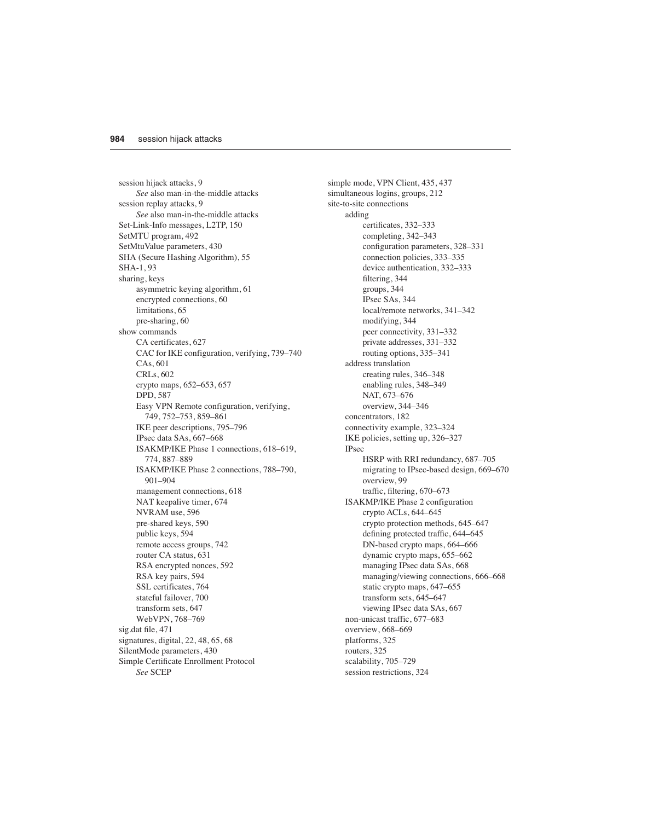session hijack attacks, 9 *See* also man-in-the-middle attacks session replay attacks, 9 *See* also man-in-the-middle attacks Set-Link-Info messages, L2TP, 150 SetMTU program, 492 SetMtuValue parameters, 430 SHA (Secure Hashing Algorithm), 55 SHA-1, 93 sharing, keys asymmetric keying algorithm, 61 encrypted connections, 60 limitations, 65 pre-sharing, 60 show commands CA certificates, 627 CAC for IKE configuration, verifying, 739–740 CAs, 601 CRLs, 602 crypto maps, 652–653, 657 DPD, 587 Easy VPN Remote configuration, verifying, 749, 752–753, 859–861 IKE peer descriptions, 795–796 IPsec data SAs, 667–668 ISAKMP/IKE Phase 1 connections, 618–619, 774, 887–889 ISAKMP/IKE Phase 2 connections, 788–790, 901–904 management connections, 618 NAT keepalive timer, 674 NVRAM use, 596 pre-shared keys, 590 public keys, 594 remote access groups, 742 router CA status, 631 RSA encrypted nonces, 592 RSA key pairs, 594 SSL certificates, 764 stateful failover, 700 transform sets, 647 WebVPN, 768–769 sig.dat file, 471 signatures, digital, 22, 48, 65, 68 SilentMode parameters, 430 Simple Certificate Enrollment Protocol *See* SCEP

simple mode, VPN Client, 435, 437 simultaneous logins, groups, 212 site-to-site connections adding certificates, 332–333 completing, 342–343 configuration parameters, 328–331 connection policies, 333–335 device authentication, 332–333 filtering, 344 groups, 344 IPsec SAs, 344 local/remote networks, 341–342 modifying, 344 peer connectivity, 331–332 private addresses, 331–332 routing options, 335–341 address translation creating rules, 346–348 enabling rules, 348–349 NAT, 673–676 overview, 344–346 concentrators, 182 connectivity example, 323–324 IKE policies, setting up, 326–327 IPsec HSRP with RRI redundancy, 687–705 migrating to IPsec-based design, 669–670 overview, 99 traffic, filtering, 670–673 ISAKMP/IKE Phase 2 configuration crypto ACLs, 644–645 crypto protection methods, 645–647 defining protected traffic, 644–645 DN-based crypto maps, 664–666 dynamic crypto maps, 655–662 managing IPsec data SAs, 668 managing/viewing connections, 666–668 static crypto maps, 647–655 transform sets, 645–647 viewing IPsec data SAs, 667 non-unicast traffic, 677–683 overview, 668–669 platforms, 325 routers, 325 scalability, 705–729 session restrictions, 324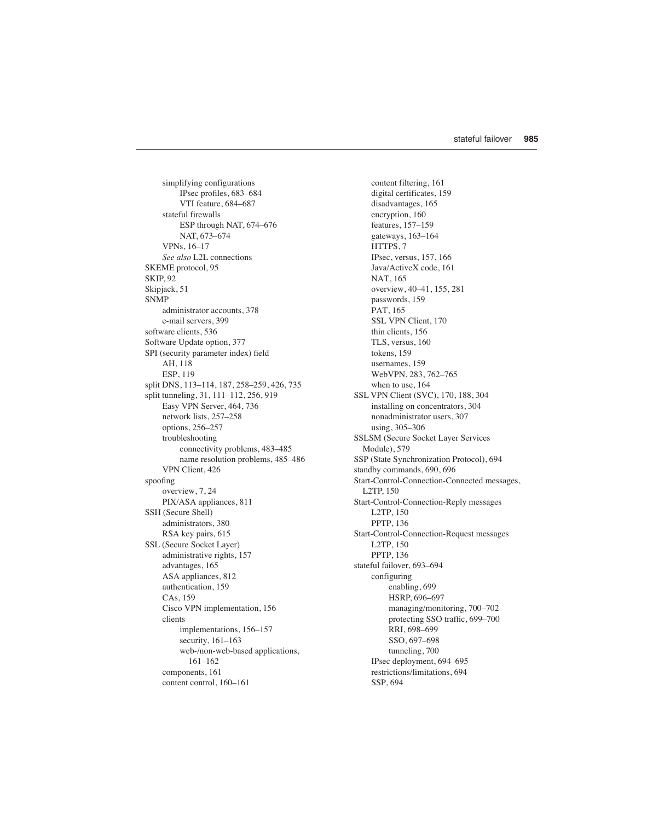simplifying configurations IPsec profiles, 683–684 VTI feature, 684–687 stateful firewalls ESP through NAT, 674–676 NAT, 673–674 VPNs, 16–17 *See also* L2L connections SKEME protocol, 95 SKIP, 92 Skipjack, 51 **SNMP** administrator accounts, 378 e-mail servers, 399 software clients, 536 Software Update option, 377 SPI (security parameter index) field AH, 118 ESP, 119 split DNS, 113–114, 187, 258–259, 426, 735 split tunneling, 31, 111–112, 256, 919 Easy VPN Server, 464, 736 network lists, 257–258 options, 256–257 troubleshooting connectivity problems, 483–485 name resolution problems, 485–486 VPN Client, 426 spoofing overview, 7, 24 PIX/ASA appliances, 811 SSH (Secure Shell) administrators, 380 RSA key pairs, 615 SSL (Secure Socket Layer) administrative rights, 157 advantages, 165 ASA appliances, 812 authentication, 159 CAs, 159 Cisco VPN implementation, 156 clients implementations, 156–157 security, 161–163 web-/non-web-based applications, 161–162 components, 161 content control, 160–161

content filtering, 161 digital certificates, 159 disadvantages, 165 encryption, 160 features, 157–159 gateways, 163–164 HTTPS, 7 IPsec, versus, 157, 166 Java/ActiveX code, 161 NAT, 165 overview, 40–41, 155, 281 passwords, 159 PAT, 165 SSL VPN Client, 170 thin clients, 156 TLS, versus, 160 tokens, 159 usernames, 159 WebVPN, 283, 762–765 when to use, 164 SSL VPN Client (SVC), 170, 188, 304 installing on concentrators, 304 nonadministrator users, 307 using, 305–306 SSLSM (Secure Socket Layer Services Module), 579 SSP (State Synchronization Protocol), 694 standby commands, 690, 696 Start-Control-Connection-Connected messages, L2TP, 150 Start-Control-Connection-Reply messages L2TP, 150 PPTP, 136 Start-Control-Connection-Request messages L2TP, 150 PPTP, 136 stateful failover, 693–694 configuring enabling, 699 HSRP, 696–697 managing/monitoring, 700–702 protecting SSO traffic, 699–700 RRI, 698–699 SSO, 697–698 tunneling, 700 IPsec deployment, 694–695 restrictions/limitations, 694 SSP, 694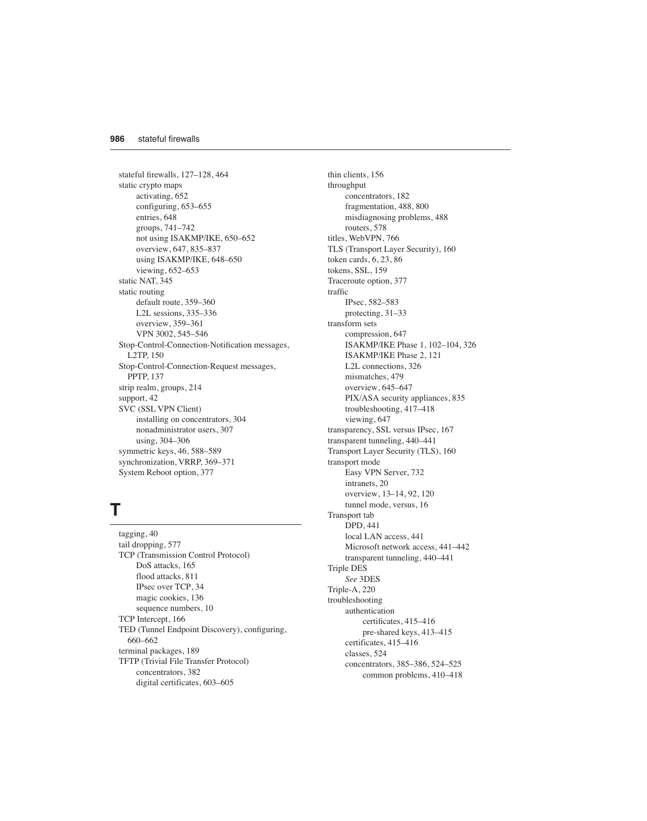stateful firewalls, 127–128, 464 static crypto maps activating, 652 configuring, 653–655 entries, 648 groups, 741–742 not using ISAKMP/IKE, 650–652 overview, 647, 835–837 using ISAKMP/IKE, 648–650 viewing, 652–653 static NAT, 345 static routing default route, 359–360 L2L sessions, 335–336 overview, 359–361 VPN 3002, 545–546 Stop-Control-Connection-Notification messages, L2TP, 150 Stop-Control-Connection-Request messages, PPTP, 137 strip realm, groups, 214 support, 42 SVC (SSL VPN Client) installing on concentrators, 304 nonadministrator users, 307 using, 304–306 symmetric keys, 46, 588–589 synchronization, VRRP, 369–371 System Reboot option, 377

# **T**

tagging, 40 tail dropping, 577 TCP (Transmission Control Protocol) DoS attacks, 165 flood attacks, 811 IPsec over TCP, 34 magic cookies, 136 sequence numbers, 10 TCP Intercept, 166 TED (Tunnel Endpoint Discovery), configuring, 660–662 terminal packages, 189 TFTP (Trivial File Transfer Protocol) concentrators, 382 digital certificates, 603–605

thin clients, 156 throughput concentrators, 182 fragmentation, 488, 800 misdiagnosing problems, 488 routers, 578 titles, WebVPN, 766 TLS (Transport Layer Security), 160 token cards, 6, 23, 86 tokens, SSL, 159 Traceroute option, 377 traffic IPsec, 582–583 protecting, 31–33 transform sets compression, 647 ISAKMP/IKE Phase 1, 102–104, 326 ISAKMP/IKE Phase 2, 121 L2L connections, 326 mismatches, 479 overview, 645–647 PIX/ASA security appliances, 835 troubleshooting, 417–418 viewing, 647 transparency, SSL versus IPsec, 167 transparent tunneling, 440–441 Transport Layer Security (TLS), 160 transport mode Easy VPN Server, 732 intranets, 20 overview, 13–14, 92, 120 tunnel mode, versus, 16 Transport tab DPD, 441 local LAN access, 441 Microsoft network access, 441–442 transparent tunneling, 440–441 Triple DES *See* 3DES Triple-A, 220 troubleshooting authentication certificates, 415–416 pre-shared keys, 413–415 certificates, 415–416 classes, 524 concentrators, 385–386, 524–525 common problems, 410–418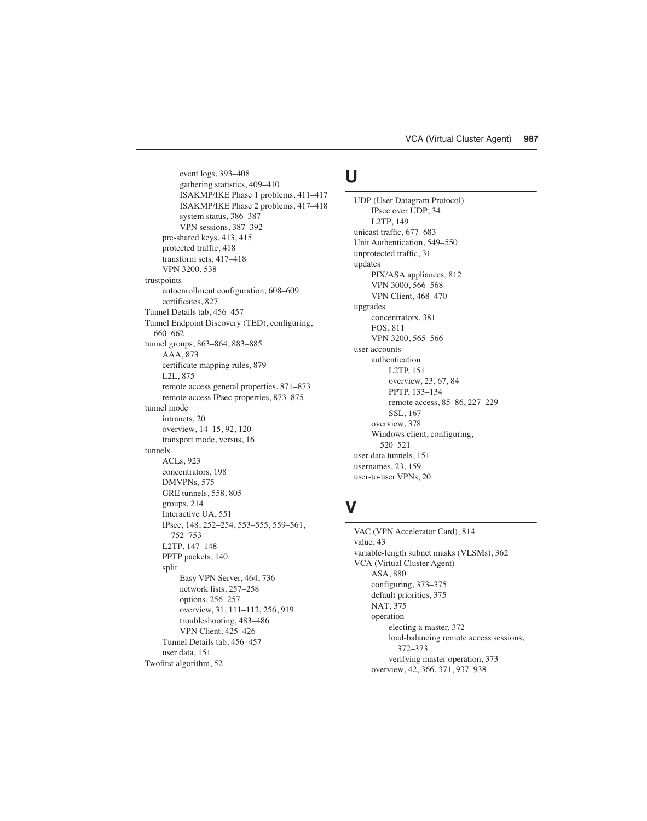event logs, 393–408 gathering statistics, 409–410 ISAKMP/IKE Phase 1 problems, 411–417 ISAKMP/IKE Phase 2 problems, 417–418 system status, 386–387 VPN sessions, 387–392 pre-shared keys, 413, 415 protected traffic, 418 transform sets, 417–418 VPN 3200, 538 trustpoints autoenrollment configuration, 608–609 certificates, 827 Tunnel Details tab, 456–457 Tunnel Endpoint Discovery (TED), configuring, 660–662 tunnel groups, 863–864, 883–885 AAA, 873 certificate mapping rules, 879 L2L, 875 remote access general properties, 871–873 remote access IPsec properties, 873–875 tunnel mode intranets, 20 overview, 14–15, 92, 120 transport mode, versus, 16 tunnels ACLs, 923 concentrators, 198 DMVPNs, 575 GRE tunnels, 558, 805 groups, 214 Interactive UA, 551 IPsec, 148, 252–254, 553–555, 559–561, 752–753 L2TP, 147–148 PPTP packets, 140 split Easy VPN Server, 464, 736 network lists, 257–258 options, 256–257 overview, 31, 111–112, 256, 919 troubleshooting, 483–486 VPN Client, 425–426 Tunnel Details tab, 456–457 user data, 151 Twofirst algorithm, 52

# **U**

UDP (User Datagram Protocol) IPsec over UDP, 34 L2TP, 149 unicast traffic, 677–683 Unit Authentication, 549–550 unprotected traffic, 31 updates PIX/ASA appliances, 812 VPN 3000, 566–568 VPN Client, 468–470 upgrades concentrators, 381 FOS, 811 VPN 3200, 565–566 user accounts authentication L2TP, 151 overview, 23, 67, 84 PPTP, 133–134 remote access, 85–86, 227–229 SSL, 167 overview, 378 Windows client, configuring, 520–521 user data tunnels, 151 usernames, 23, 159 user-to-user VPNs, 20

#### **V**

VAC (VPN Accelerator Card), 814 value, 43 variable-length subnet masks (VLSMs), 362 VCA (Virtual Cluster Agent) ASA, 880 configuring, 373–375 default priorities, 375 NAT, 375 operation electing a master, 372 load-balancing remote access sessions, 372–373 verifying master operation, 373 overview, 42, 366, 371, 937–938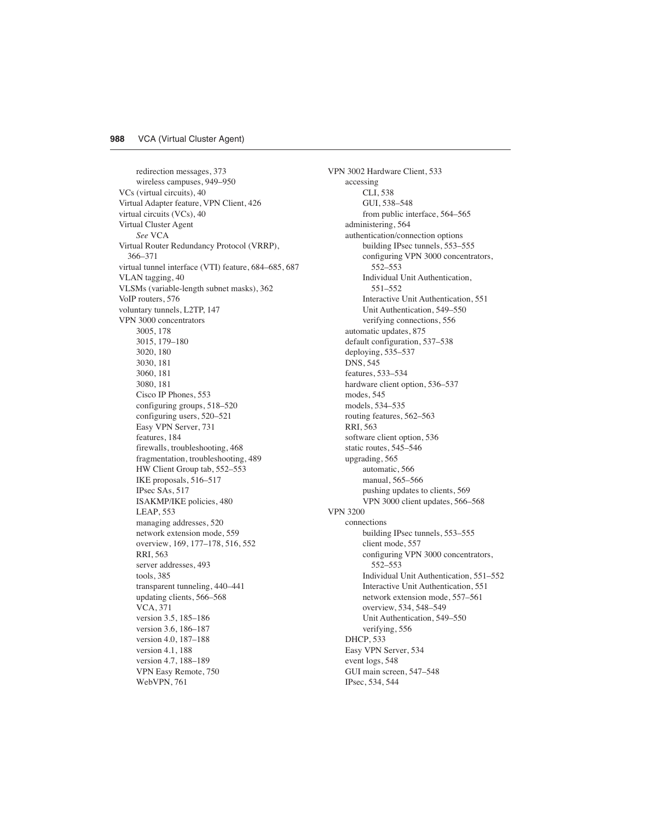redirection messages, 373 wireless campuses, 949–950 VCs (virtual circuits), 40 Virtual Adapter feature, VPN Client, 426 virtual circuits (VCs), 40 Virtual Cluster Agent *See* VCA Virtual Router Redundancy Protocol (VRRP), 366–371 virtual tunnel interface (VTI) feature, 684–685, 687 VLAN tagging, 40 VLSMs (variable-length subnet masks), 362 VoIP routers, 576 voluntary tunnels, L2TP, 147 VPN 3000 concentrators 3005, 178 3015, 179–180 3020, 180 3030, 181 3060, 181 3080, 181 Cisco IP Phones, 553 configuring groups, 518–520 configuring users, 520–521 Easy VPN Server, 731 features, 184 firewalls, troubleshooting, 468 fragmentation, troubleshooting, 489 HW Client Group tab, 552–553 IKE proposals, 516–517 IPsec SAs, 517 ISAKMP/IKE policies, 480 LEAP, 553 managing addresses, 520 network extension mode, 559 overview, 169, 177–178, 516, 552 RRI, 563 server addresses, 493 tools, 385 transparent tunneling, 440–441 updating clients, 566–568 VCA, 371 version 3.5, 185–186 version 3.6, 186–187 version 4.0, 187–188 version 4.1, 188 version 4.7, 188–189 VPN Easy Remote, 750 WebVPN, 761

VPN 3002 Hardware Client, 533 accessing CLI, 538 GUI, 538–548 from public interface, 564–565 administering, 564 authentication/connection options building IPsec tunnels, 553–555 configuring VPN 3000 concentrators, 552–553 Individual Unit Authentication, 551–552 Interactive Unit Authentication, 551 Unit Authentication, 549–550 verifying connections, 556 automatic updates, 875 default configuration, 537–538 deploying, 535–537 DNS, 545 features, 533–534 hardware client option, 536–537 modes, 545 models, 534–535 routing features, 562–563 RRI, 563 software client option, 536 static routes, 545–546 upgrading, 565 automatic, 566 manual, 565–566 pushing updates to clients, 569 VPN 3000 client updates, 566–568 VPN 3200 connections building IPsec tunnels, 553–555 client mode, 557 configuring VPN 3000 concentrators, 552–553 Individual Unit Authentication, 551–552 Interactive Unit Authentication, 551 network extension mode, 557–561 overview, 534, 548–549 Unit Authentication, 549–550 verifying, 556 DHCP, 533 Easy VPN Server, 534 event logs, 548 GUI main screen, 547–548 IPsec, 534, 544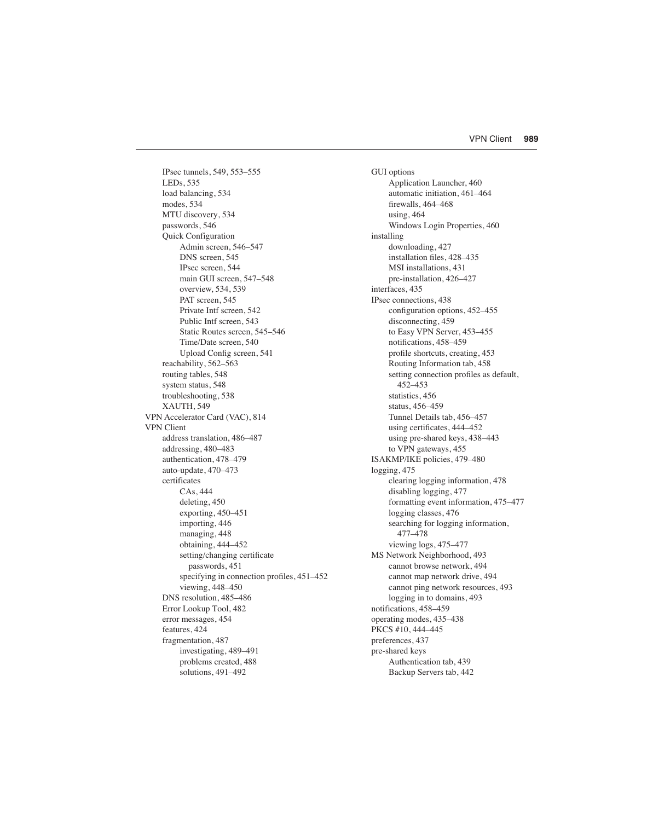IPsec tunnels, 549, 553–555 LEDs, 535 load balancing, 534 modes, 534 MTU discovery, 534 passwords, 546 Quick Configuration Admin screen, 546–547 DNS screen, 545 IPsec screen, 544 main GUI screen, 547–548 overview, 534, 539 PAT screen, 545 Private Intf screen, 542 Public Intf screen, 543 Static Routes screen, 545–546 Time/Date screen, 540 Upload Config screen, 541 reachability, 562–563 routing tables, 548 system status, 548 troubleshooting, 538 XAUTH, 549 VPN Accelerator Card (VAC), 814 VPN Client address translation, 486–487 addressing, 480–483 authentication, 478–479 auto-update, 470–473 certificates CAs, 444 deleting, 450 exporting, 450–451 importing, 446 managing, 448 obtaining, 444–452 setting/changing certificate passwords, 451 specifying in connection profiles, 451–452 viewing, 448–450 DNS resolution, 485–486 Error Lookup Tool, 482 error messages, 454 features, 424 fragmentation, 487 investigating, 489–491 problems created, 488 solutions, 491–492

GUI options Application Launcher, 460 automatic initiation, 461–464 firewalls, 464–468 using, 464 Windows Login Properties, 460 installing downloading, 427 installation files, 428–435 MSI installations, 431 pre-installation, 426–427 interfaces, 435 IPsec connections, 438 configuration options, 452–455 disconnecting, 459 to Easy VPN Server, 453–455 notifications, 458–459 profile shortcuts, creating, 453 Routing Information tab, 458 setting connection profiles as default, 452–453 statistics, 456 status, 456–459 Tunnel Details tab, 456–457 using certificates, 444–452 using pre-shared keys, 438–443 to VPN gateways, 455 ISAKMP/IKE policies, 479–480 logging, 475 clearing logging information, 478 disabling logging, 477 formatting event information, 475–477 logging classes, 476 searching for logging information, 477–478 viewing logs, 475–477 MS Network Neighborhood, 493 cannot browse network, 494 cannot map network drive, 494 cannot ping network resources, 493 logging in to domains, 493 notifications, 458–459 operating modes, 435–438 PKCS #10, 444–445 preferences, 437 pre-shared keys Authentication tab, 439 Backup Servers tab, 442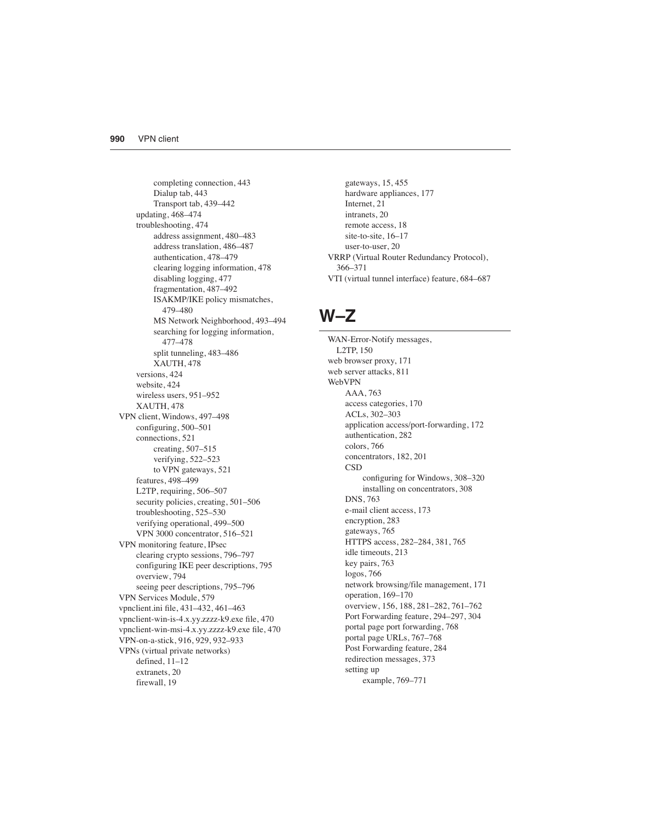completing connection, 443 Dialup tab, 443 Transport tab, 439–442 updating, 468–474 troubleshooting, 474 address assignment, 480–483 address translation, 486–487 authentication, 478–479 clearing logging information, 478 disabling logging, 477 fragmentation, 487–492 ISAKMP/IKE policy mismatches, 479–480 MS Network Neighborhood, 493–494 searching for logging information, 477–478 split tunneling, 483–486 XAUTH, 478 versions, 424 website, 424 wireless users, 951–952 XAUTH, 478 VPN client, Windows, 497–498 configuring, 500–501 connections, 521 creating, 507–515 verifying, 522–523 to VPN gateways, 521 features, 498–499 L2TP, requiring, 506–507 security policies, creating, 501–506 troubleshooting, 525–530 verifying operational, 499–500 VPN 3000 concentrator, 516–521 VPN monitoring feature, IPsec clearing crypto sessions, 796–797 configuring IKE peer descriptions, 795 overview, 794 seeing peer descriptions, 795–796 VPN Services Module, 579 vpnclient.ini file, 431–432, 461–463 vpnclient-win-is-4.x.yy.zzzz-k9.exe file, 470 vpnclient-win-msi-4.x.yy.zzzz-k9.exe file, 470 VPN-on-a-stick, 916, 929, 932–933 VPNs (virtual private networks) defined, 11–12 extranets, 20 firewall, 19

gateways, 15, 455 hardware appliances, 177 Internet, 21 intranets, 20 remote access, 18 site-to-site, 16–17 user-to-user, 20 VRRP (Virtual Router Redundancy Protocol), 366–371 VTI (virtual tunnel interface) feature, 684–687

#### **W–Z**

WAN-Error-Notify messages, L2TP, 150 web browser proxy, 171 web server attacks, 811 WebVPN AAA, 763 access categories, 170 ACLs, 302–303 application access/port-forwarding, 172 authentication, 282 colors, 766 concentrators, 182, 201 **CSD** configuring for Windows, 308–320 installing on concentrators, 308 DNS, 763 e-mail client access, 173 encryption, 283 gateways, 765 HTTPS access, 282–284, 381, 765 idle timeouts, 213 key pairs, 763 logos, 766 network browsing/file management, 171 operation, 169–170 overview, 156, 188, 281–282, 761–762 Port Forwarding feature, 294–297, 304 portal page port forwarding, 768 portal page URLs, 767–768 Post Forwarding feature, 284 redirection messages, 373 setting up example, 769–771